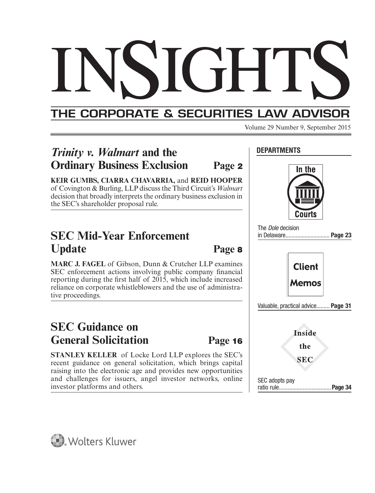## THE CORPORATE & SECURITIES LAW ADVISOR

Volume 29 Number 9, September 2015

**DEPARTMENTS**

## *Trinity v. Walmart* **and the Ordinary Business Exclusion Page <sup>2</sup>**

**KEIR GUMBS, CIARRA CHAVARRIA,** and **REID HOOPER** of Covington & Burling, LLP discuss the Third Circuit's *Walmart* decision that broadly interprets the ordinary business exclusion in the SEC's shareholder proposal rule.

## **SEC Mid-Year Enforcement Update Page <sup>8</sup>**

**MARC J. FAGEL** of Gibson, Dunn & Crutcher LLP examines SEC enforcement actions involving public company financial reporting during the first half of  $2015$ , which include increased reliance on corporate whistleblowers and the use of administrative proceedings.

## **SEC Guidance on General Solicitation Page <sup>16</sup>**

**STANLEY KELLER** of Locke Lord LLP explores the SEC's recent guidance on general solicitation, which brings capital raising into the electronic age and provides new opportunities and challenges for issuers, angel investor networks, online investor platforms and others.



The Dole decision in Delaware .............................. **Page 23**



Valuable, practical advice......... **Page 31**



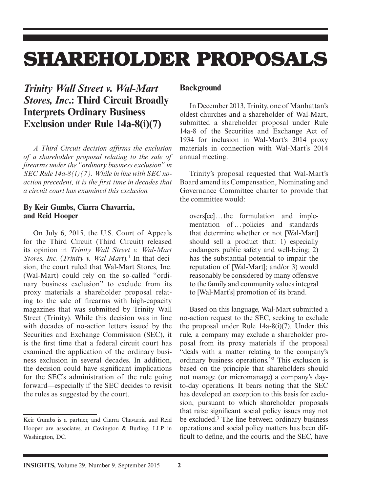# **SHAREHOLDER PROPOSALS**

## *Trinity Wall Street v. Wal-Mart Stores, Inc***.: Third Circuit Broadly Interprets Ordinary Business Exclusion under Rule 14a-8(i)(7)**

*A Third Circuit decision affi rms the exclusion of a shareholder proposal relating to the sale of fi rearms under the "ordinary business exclusion" in SEC Rule 14a-8(i)(7). While in line with SEC noaction precedent, it is the first time in decades that a circuit court has examined this exclusion.*

#### **By Keir Gumbs, Ciarra Chavarria, and Reid Hooper**

On July 6, 2015, the U.S. Court of Appeals for the Third Circuit (Third Circuit) released its opinion in *Trinity Wall Street v. Wal-Mart Stores, Inc.* (*Trinity v. Wal-Mart*)*.* 1 In that decision, the court ruled that Wal-Mart Stores, Inc. (Wal-Mart) could rely on the so-called "ordinary business exclusion" to exclude from its proxy materials a shareholder proposal relating to the sale of firearms with high-capacity magazines that was submitted by Trinity Wall Street (Trinity). While this decision was in line with decades of no-action letters issued by the Securities and Exchange Commission (SEC), it is the first time that a federal circuit court has examined the application of the ordinary business exclusion in several decades. In addition, the decision could have significant implications for the SEC's administration of the rule going forward—especially if the SEC decides to revisit the rules as suggested by the court.

#### **Background**

In December 2013, Trinity, one of Manhattan's oldest churches and a shareholder of Wal-Mart, submitted a shareholder proposal under Rule 14a-8 of the Securities and Exchange Act of 1934 for inclusion in Wal-Mart's 2014 proxy materials in connection with Wal-Mart's 2014 annual meeting.

Trinity's proposal requested that Wal-Mart's Board amend its Compensation, Nominating and Governance Committee charter to provide that the committee would:

overs[ee] … the formulation and implementation of … policies and standards that determine whether or not [Wal-Mart] should sell a product that: 1) especially endangers public safety and well-being; 2) has the substantial potential to impair the reputation of [Wal-Mart]; and/or 3) would reasonably be considered by many offensive to the family and community values integral to [Wal-Mart's] promotion of its brand.

Based on this language, Wal-Mart submitted a no-action request to the SEC, seeking to exclude the proposal under Rule 14a-8(i)(7). Under this rule, a company may exclude a shareholder proposal from its proxy materials if the proposal "deals with a matter relating to the company's ordinary business operations."2 This exclusion is based on the principle that shareholders should not manage (or micromanage) a company's dayto-day operations. It bears noting that the SEC has developed an exception to this basis for exclusion, pursuant to which shareholder proposals that raise significant social policy issues may not be excluded.3 The line between ordinary business operations and social policy matters has been difficult to define, and the courts, and the SEC, have

Keir Gumbs is a partner, and Ciarra Chavarria and Reid Hooper are associates, at Covington & Burling, LLP in Washington, DC.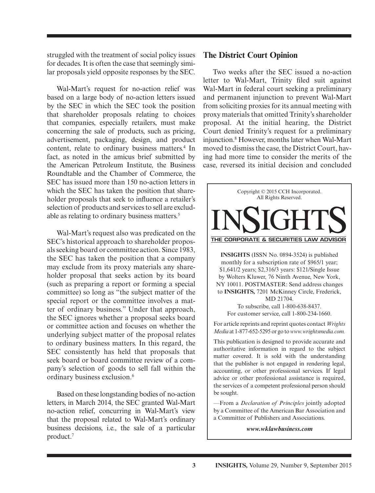struggled with the treatment of social policy issues for decades. It is often the case that seemingly similar proposals yield opposite responses by the SEC.

Wal-Mart's request for no-action relief was based on a large body of no-action letters issued by the SEC in which the SEC took the position that shareholder proposals relating to choices that companies, especially retailers, must make concerning the sale of products, such as pricing, advertisement, packaging, design, and product content, relate to ordinary business matters.<sup>4</sup> In fact, as noted in the amicus brief submitted by the American Petroleum Institute, the Business Roundtable and the Chamber of Commerce, the SEC has issued more than 150 no-action letters in which the SEC has taken the position that shareholder proposals that seek to influence a retailer's selection of products and services to sell are excludable as relating to ordinary business matters.<sup>5</sup>

Wal-Mart's request also was predicated on the SEC's historical approach to shareholder proposals seeking board or committee action. Since 1983, the SEC has taken the position that a company may exclude from its proxy materials any shareholder proposal that seeks action by its board (such as preparing a report or forming a special committee) so long as "the subject matter of the special report or the committee involves a matter of ordinary business." Under that approach, the SEC ignores whether a proposal seeks board or committee action and focuses on whether the underlying subject matter of the proposal relates to ordinary business matters. In this regard, the SEC consistently has held that proposals that seek board or board committee review of a company's selection of goods to sell fall within the ordinary business exclusion.6

Based on these longstanding bodies of no-action letters, in March 2014, the SEC granted Wal-Mart no-action relief, concurring in Wal-Mart's view that the proposal related to Wal-Mart's ordinary business decisions, i.e., the sale of a particular product.7

#### **The District Court Opinion**

Two weeks after the SEC issued a no-action letter to Wal-Mart, Trinity filed suit against Wal-Mart in federal court seeking a preliminary and permanent injunction to prevent Wal-Mart from soliciting proxies for its annual meeting with proxy materials that omitted Trinity's shareholder proposal. At the initial hearing, the District Court denied Trinity's request for a preliminary injunction.8 However, months later when Wal-Mart moved to dismiss the case, the District Court, having had more time to consider the merits of the case, reversed its initial decision and concluded



—From a *Declaration of Principles* jointly adopted by a Committee of the American Bar Association and a Committee of Publishers and Associations.

*www.wklawbusiness.com*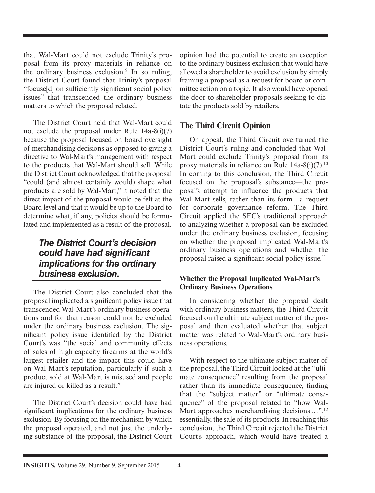that Wal-Mart could not exclude Trinity's proposal from its proxy materials in reliance on the ordinary business exclusion.<sup>9</sup> In so ruling, the District Court found that Trinity's proposal "focuse[d] on sufficiently significant social policy issues" that transcended the ordinary business matters to which the proposal related.

The District Court held that Wal-Mart could not exclude the proposal under Rule 14a-8(i)(7) because the proposal focused on board oversight of merchandising decisions as opposed to giving a directive to Wal-Mart's management with respect to the products that Wal-Mart should sell. While the District Court acknowledged that the proposal "could (and almost certainly would) shape what products are sold by Wal-Mart," it noted that the direct impact of the proposal would be felt at the Board level and that it would be up to the Board to determine what, if any, policies should be formulated and implemented as a result of the proposal.

## *The District Court's decision could have had signifi cant implications for the ordinary business exclusion.*

The District Court also concluded that the proposal implicated a significant policy issue that transcended Wal-Mart's ordinary business operations and for that reason could not be excluded under the ordinary business exclusion. The significant policy issue identified by the District Court's was "the social and community effects of sales of high capacity firearms at the world's largest retailer and the impact this could have on Wal-Mart's reputation, particularly if such a product sold at Wal-Mart is misused and people are injured or killed as a result."

The District Court's decision could have had significant implications for the ordinary business exclusion. By focusing on the mechanism by which the proposal operated, and not just the underlying substance of the proposal, the District Court opinion had the potential to create an exception to the ordinary business exclusion that would have allowed a shareholder to avoid exclusion by simply framing a proposal as a request for board or committee action on a topic. It also would have opened the door to shareholder proposals seeking to dictate the products sold by retailers.

#### **The Third Circuit Opinion**

On appeal, the Third Circuit overturned the District Court's ruling and concluded that Wal-Mart could exclude Trinity's proposal from its proxy materials in reliance on Rule 14a-8(i)(7).10 In coming to this conclusion, the Third Circuit focused on the proposal's substance—the proposal's attempt to influence the products that Wal-Mart sells, rather than its form—a request for corporate governance reform. The Third Circuit applied the SEC's traditional approach to analyzing whether a proposal can be excluded under the ordinary business exclusion, focusing on whether the proposal implicated Wal-Mart's ordinary business operations and whether the proposal raised a significant social policy issue.<sup>11</sup>

#### **Whether the Proposal Implicated Wal-Mart's Ordinary Business Operations**

In considering whether the proposal dealt with ordinary business matters, the Third Circuit focused on the ultimate subject matter of the proposal and then evaluated whether that subject matter was related to Wal-Mart's ordinary business operations.

With respect to the ultimate subject matter of the proposal, the Third Circuit looked at the "ultimate consequence" resulting from the proposal rather than its immediate consequence, finding that the "subject matter" or "ultimate consequence" of the proposal related to "how Wal-Mart approaches merchandising decisions  $\ldots$ ",  $^{12}$ essentially, the sale of its products. In reaching this conclusion, the Third Circuit rejected the District Court's approach, which would have treated a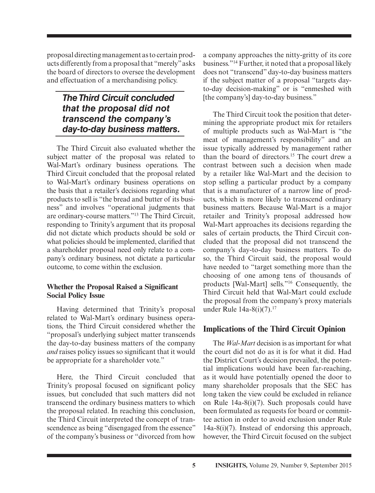proposal directing management as to certain products differently from a proposal that "merely" asks the board of directors to oversee the development and effectuation of a merchandising policy.

## *The Third Circuit concluded that the proposal did not transcend the company's day-to-day business matters.*

The Third Circuit also evaluated whether the subject matter of the proposal was related to Wal-Mart's ordinary business operations. The Third Circuit concluded that the proposal related to Wal-Mart's ordinary business operations on the basis that a retailer's decisions regarding what products to sell is "the bread and butter of its business" and involves "operational judgments that are ordinary-course matters."13 The Third Circuit, responding to Trinity's argument that its proposal did not dictate which products should be sold or what policies should be implemented, clarified that a shareholder proposal need only relate to a company's ordinary business, not dictate a particular outcome, to come within the exclusion.

#### **Whether the Proposal Raised a Significant Social Policy Issue**

Having determined that Trinity's proposal related to Wal-Mart's ordinary business operations, the Third Circuit considered whether the "proposal's underlying subject matter transcends the day-to-day business matters of the company *and* raises policy issues so significant that it would be appropriate for a shareholder vote."

Here, the Third Circuit concluded that Trinity's proposal focused on significant policy issues, but concluded that such matters did not transcend the ordinary business matters to which the proposal related. In reaching this conclusion, the Third Circuit interpreted the concept of transcendence as being "disengaged from the essence" of the company's business or "divorced from how a company approaches the nitty-gritty of its core business."14 Further, it noted that a proposal likely does not "transcend" day-to-day business matters if the subject matter of a proposal "targets dayto-day decision-making" or is "enmeshed with [the company's] day-to-day business."

The Third Circuit took the position that determining the appropriate product mix for retailers of multiple products such as Wal-Mart is "the meat of management's responsibility" and an issue typically addressed by management rather than the board of directors.15 The court drew a contrast between such a decision when made by a retailer like Wal-Mart and the decision to stop selling a particular product by a company that is a manufacturer of a narrow line of products, which is more likely to transcend ordinary business matters. Because Wal-Mart is a major retailer and Trinity's proposal addressed how Wal-Mart approaches its decisions regarding the sales of certain products, the Third Circuit concluded that the proposal did not transcend the company's day-to-day business matters. To do so, the Third Circuit said, the proposal would have needed to "target something more than the choosing of one among tens of thousands of products [Wal-Mart] sells."16 Consequently, the Third Circuit held that Wal-Mart could exclude the proposal from the company's proxy materials under Rule  $14a-8(i)(7)$ .<sup>17</sup>

#### **Implications of the Third Circuit Opinion**

The *Wal-Mart* decision is as important for what the court did not do as it is for what it did. Had the District Court's decision prevailed, the potential implications would have been far-reaching, as it would have potentially opened the door to many shareholder proposals that the SEC has long taken the view could be excluded in reliance on Rule 14a-8(i)(7). Such proposals could have been formulated as requests for board or committee action in order to avoid exclusion under Rule 14a-8(i)(7). Instead of endorsing this approach, however, the Third Circuit focused on the subject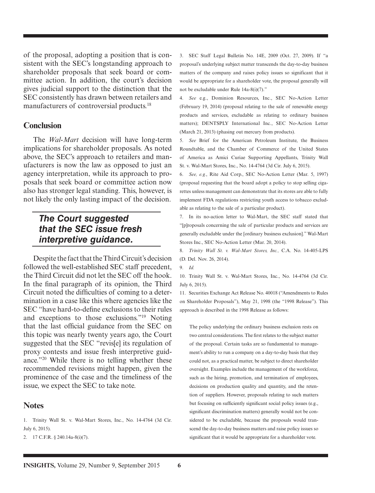of the proposal, adopting a position that is consistent with the SEC's longstanding approach to shareholder proposals that seek board or committee action. In addition, the court's decision gives judicial support to the distinction that the SEC consistently has drawn between retailers and manufacturers of controversial products.<sup>18</sup>

#### **Conclusion**

The *Wal-Mart* decision will have long-term implications for shareholder proposals. As noted above, the SEC's approach to retailers and manufacturers is now the law as opposed to just an agency interpretation, while its approach to proposals that seek board or committee action now also has stronger legal standing. This, however, is not likely the only lasting impact of the decision.

### *The Court suggested that the SEC issue fresh interpretive guidance.*

Despite the fact that the Third Circuit's decision followed the well-established SEC staff precedent, the Third Circuit did not let the SEC off the hook. In the final paragraph of its opinion, the Third Circuit noted the difficulties of coming to a determination in a case like this where agencies like the SEC "have hard-to-define exclusions to their rules and exceptions to those exclusions."19 Noting that the last official guidance from the SEC on this topic was nearly twenty years ago, the Court suggested that the SEC "revis[e] its regulation of proxy contests and issue fresh interpretive guidance."20 While there is no telling whether these recommended revisions might happen, given the prominence of the case and the timeliness of the issue, we expect the SEC to take note.

#### **Notes**

1. Trinity Wall St. v. Wal-Mart Stores, Inc., No. 14-4764 (3d Cir. July 6, 2015).

2. 17 C.F.R. § 240.14a-8(i)(7).

3. SEC Staff Legal Bulletin No. 14E, 2009 (Oct. 27, 2009). If "a proposal's underlying subject matter transcends the day-to-day business matters of the company and raises policy issues so significant that it would be appropriate for a shareholder vote, the proposal generally will not be excludable under Rule 14a-8(i)(7)."

4. *See* e.g., Dominion Resources, Inc., SEC No-Action Letter (February 19, 2014) (proposal relating to the sale of renewable energy products and services, excludable as relating to ordinary business matters); DENTSPLY International Inc., SEC No-Action Letter (March 21, 2013) (phasing out mercury from products).

5. *See* Brief for the American Petroleum Institute, the Business Roundtable, and the Chamber of Commerce of the United States of America as Amici Curiae Supporting Appellants, Trinity Wall St. v. Wal-Mart Stores, Inc., No. 14-4764 (3d Cir. July 6, 2015).

6. *See, e.g.*, Rite Aid Corp., SEC No-Action Letter (Mar. 5, 1997) (proposal requesting that the board adopt a policy to stop selling cigarettes unless management can demonstrate that its stores are able to fully implement FDA regulations restricting youth access to tobacco excludable as relating to the sale of a particular product).

7. In its no-action letter to Wal-Mart, the SEC staff stated that "[p]roposals concerning the sale of particular products and services are generally excludable under the [ordinary business exclusion]." Wal-Mart Stores Inc., SEC No-Action Letter (Mar. 20, 2014).

8. *Trinity Wall St. v. Wal-Mart Stores, Inc.,* C.A. No. 14-405-LPS (D. Del. Nov. 26, 2014).

10. Trinity Wall St. v. Wal-Mart Stores, Inc., No. 14-4764 (3d Cir. July 6, 2015).

11. Securities Exchange Act Release No. 40018 ("Amendments to Rules on Shareholder Proposals"), May 21, 1998 (the "1998 Release"). This approach is described in the 1998 Release as follows:

The policy underlying the ordinary business exclusion rests on two central considerations. The first relates to the subject matter of the proposal. Certain tasks are so fundamental to management's ability to run a company on a day-to-day basis that they could not, as a practical matter, be subject to direct shareholder oversight. Examples include the management of the workforce, such as the hiring, promotion, and termination of employees, decisions on production quality and quantity, and the retention of suppliers. However, proposals relating to such matters but focusing on sufficiently significant social policy issues (e.g., significant discrimination matters) generally would not be considered to be excludable, because the proposals would transcend the day-to-day business matters and raise policy issues so significant that it would be appropriate for a shareholder vote.

<sup>9.</sup> *Id.*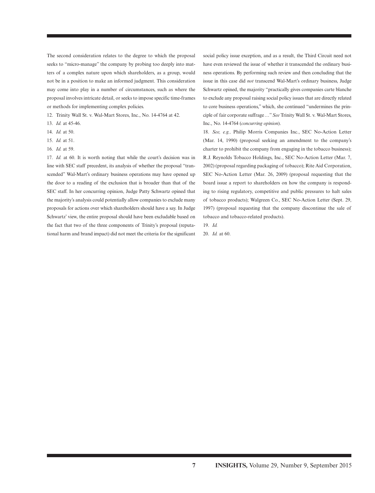The second consideration relates to the degree to which the proposal seeks to "micro-manage" the company by probing too deeply into matters of a complex nature upon which shareholders, as a group, would not be in a position to make an informed judgment. This consideration may come into play in a number of circumstances, such as where the proposal involves intricate detail, or seeks to impose specific time-frames or methods for implementing complex policies.

- 12. Trinity Wall St. v. Wal-Mart Stores, Inc., No. 14-4764 at 42.
- 13. *Id.* at 45-46.
- 14. *Id.* at 50.
- 15. *Id.* at 51.
- 16. *Id.* at 59.

17. *Id.* at 60. It is worth noting that while the court's decision was in line with SEC staff precedent, its analysis of whether the proposal "transcended" Wal-Mart's ordinary business operations may have opened up the door to a reading of the exclusion that is broader than that of the SEC staff. In her concurring opinion, Judge Patty Schwartz opined that the majority's analysis could potentially allow companies to exclude many proposals for actions over which shareholders should have a say. In Judge Schwartz' view, the entire proposal should have been excludable based on the fact that two of the three components of Trinity's proposal (reputational harm and brand impact) did not meet the criteria for the significant

social policy issue exception, and as a result, the Third Circuit need not have even reviewed the issue of whether it transcended the ordinary business operations. By performing such review and then concluding that the issue in this case did *not* transcend Wal-Mart's ordinary business, Judge Schwartz opined, the majority "practically gives companies carte blanche to exclude any proposal raising social policy issues that are directly related to core business operations," which, she continued "undermines the principle of fair corporate suffrage …" *See* Trinity Wall St. v. Wal-Mart Stores, Inc., No. 14-4764 (*concurring opinion*).

18. *See, e.g.,* Philip Morris Companies Inc., SEC No-Action Letter (Mar. 14, 1990) (proposal seeking an amendment to the company's charter to prohibit the company from engaging in the tobacco business); R.J. Reynolds Tobacco Holdings, Inc., SEC No-Action Letter (Mar. 7, 2002) (proposal regarding packaging of tobacco); Rite Aid Corporation, SEC No-Action Letter (Mar. 26, 2009) (proposal requesting that the board issue a report to shareholders on how the company is responding to rising regulatory, competitive and public pressures to halt sales of tobacco products); Walgreen Co., SEC No-Action Letter (Sept. 29, 1997) (proposal requesting that the company discontinue the sale of tobacco and tobacco-related products).

19. *Id.* 

20. *Id.* at 60.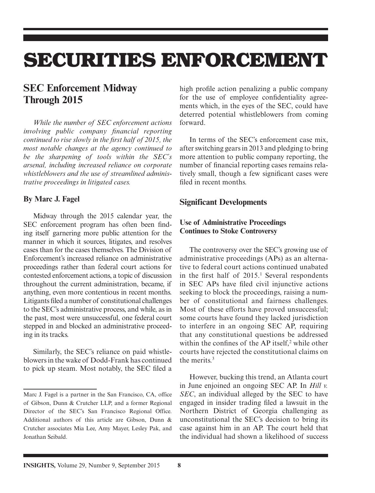# **SECURITIES ENFORCEMENT**

## **SEC Enforcement Midway Through 2015**

*While the number of SEC enforcement actions involving public company financial reporting continued to rise slowly in the first half of 2015, the most notable changes at the agency continued to be the sharpening of tools within the SEC's arsenal, including increased reliance on corporate whistleblowers and the use of streamlined administrative proceedings in litigated cases.*

#### **By Marc J. Fagel**

Midway through the 2015 calendar year, the SEC enforcement program has often been finding itself garnering more public attention for the manner in which it sources, litigates, and resolves cases than for the cases themselves. The Division of Enforcement's increased reliance on administrative proceedings rather than federal court actions for contested enforcement actions, a topic of discussion throughout the current administration, became, if anything, even more contentious in recent months. Litigants filed a number of constitutional challenges to the SEC's administrative process, and while, as in the past, most were unsuccessful, one federal court stepped in and blocked an administrative proceeding in its tracks.

Similarly, the SEC's reliance on paid whistleblowers in the wake of Dodd-Frank has continued to pick up steam. Most notably, the SEC filed a high profile action penalizing a public company for the use of employee confidentiality agreements which, in the eyes of the SEC, could have deterred potential whistleblowers from coming forward.

In terms of the SEC's enforcement case mix, after switching gears in 2013 and pledging to bring more attention to public company reporting, the number of financial reporting cases remains relatively small, though a few significant cases were filed in recent months.

#### **Significant Developments**

#### **Use of Administrative Proceedings Continues to Stoke Controversy**

The controversy over the SEC's growing use of administrative proceedings (APs) as an alternative to federal court actions continued unabated in the first half of  $2015<sup>1</sup>$ . Several respondents in SEC APs have filed civil injunctive actions seeking to block the proceedings, raising a number of constitutional and fairness challenges. Most of these efforts have proved unsuccessful; some courts have found they lacked jurisdiction to interfere in an ongoing SEC AP, requiring that any constitutional questions be addressed within the confines of the AP itself, $2$  while other courts have rejected the constitutional claims on the merits  $3$ 

However, bucking this trend, an Atlanta court in June enjoined an ongoing SEC AP. In *Hill v. SEC*, an individual alleged by the SEC to have engaged in insider trading filed a lawsuit in the Northern District of Georgia challenging as unconstitutional the SEC's decision to bring its case against him in an AP. The court held that the individual had shown a likelihood of success

Marc J. Fagel is a partner in the San Francisco, CA, office of Gibson, Dunn & Crutcher LLP, and a former Regional Director of the SEC's San Francisco Regional Office. Additional authors of this article are Gibson, Dunn & Crutcher associates Mia Lee, Amy Mayer, Lesley Pak, and Jonathan Seibald.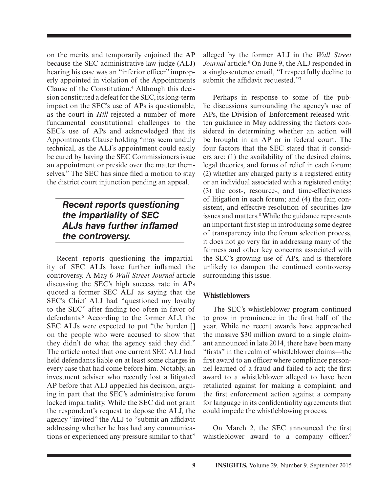on the merits and temporarily enjoined the AP because the SEC administrative law judge (ALJ) hearing his case was an "inferior officer" improperly appointed in violation of the Appointments Clause of the Constitution.4 Although this decision constituted a defeat for the SEC, its long-term impact on the SEC's use of APs is questionable, as the court in *Hill* rejected a number of more fundamental constitutional challenges to the SEC's use of APs and acknowledged that its Appointments Clause holding "may seem unduly technical, as the ALJ's appointment could easily be cured by having the SEC Commissioners issue an appointment or preside over the matter themselves." The SEC has since filed a motion to stay the district court injunction pending an appeal.

## *Recent reports questioning the impartiality of SEC*  **ALJs have further inflamed** *the controversy.*

Recent reports questioning the impartiality of SEC ALJs have further inflamed the controversy. A May 6 *Wall Street Journal* article discussing the SEC's high success rate in APs quoted a former SEC ALJ as saying that the SEC's Chief ALJ had "questioned my loyalty to the SEC" after finding too often in favor of defendants.5 According to the former ALJ, the SEC ALJs were expected to put "the burden [ ] on the people who were accused to show that they didn't do what the agency said they did." The article noted that one current SEC ALJ had held defendants liable on at least some charges in every case that had come before him. Notably, an investment adviser who recently lost a litigated AP before that ALJ appealed his decision, arguing in part that the SEC's administrative forum lacked impartiality. While the SEC did not grant the respondent's request to depose the ALJ, the agency "invited" the ALJ to "submit an affidavit addressing whether he has had any communications or experienced any pressure similar to that"

alleged by the former ALJ in the *Wall Street*  Journal article.<sup>6</sup> On June 9, the ALJ responded in a single-sentence email, "I respectfully decline to submit the affidavit requested."7

Perhaps in response to some of the public discussions surrounding the agency's use of APs, the Division of Enforcement released written guidance in May addressing the factors considered in determining whether an action will be brought in an AP or in federal court. The four factors that the SEC stated that it considers are: (1) the availability of the desired claims, legal theories, and forms of relief in each forum; (2) whether any charged party is a registered entity or an individual associated with a registered entity; (3) the cost-, resource-, and time-effectiveness of litigation in each forum; and (4) the fair, consistent, and effective resolution of securities law issues and matters.<sup>8</sup> While the guidance represents an important first step in introducing some degree of transparency into the forum selection process, it does not go very far in addressing many of the fairness and other key concerns associated with the SEC's growing use of APs, and is therefore unlikely to dampen the continued controversy surrounding this issue.

#### **Whistleblowers**

The SEC's whistleblower program continued to grow in prominence in the first half of the year. While no recent awards have approached the massive \$30 million award to a single claimant announced in late 2014, there have been many "firsts" in the realm of whistleblower claims—the first award to an officer where compliance personnel learned of a fraud and failed to act; the first award to a whistleblower alleged to have been retaliated against for making a complaint; and the first enforcement action against a company for language in its confidentiality agreements that could impede the whistleblowing process.

On March 2, the SEC announced the first whistleblower award to a company officer. $9$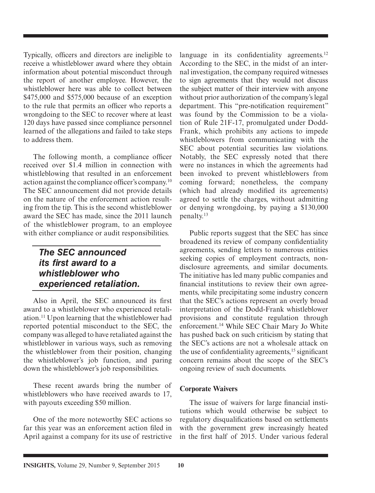Typically, officers and directors are ineligible to receive a whistleblower award where they obtain information about potential misconduct through the report of another employee. However, the whistleblower here was able to collect between \$475,000 and \$575,000 because of an exception to the rule that permits an officer who reports a wrongdoing to the SEC to recover where at least 120 days have passed since compliance personnel learned of the allegations and failed to take steps to address them.

The following month, a compliance officer received over \$1.4 million in connection with whistleblowing that resulted in an enforcement action against the compliance officer's company.<sup>10</sup> The SEC announcement did not provide details on the nature of the enforcement action resulting from the tip. This is the second whistleblower award the SEC has made, since the 2011 launch of the whistleblower program, to an employee with either compliance or audit responsibilities.

### *The SEC announced its first award to a whistleblower who experienced retaliation.*

Also in April, the SEC announced its first award to a whistleblower who experienced retaliation.11 Upon learning that the whistleblower had reported potential misconduct to the SEC, the company was alleged to have retaliated against the whistleblower in various ways, such as removing the whistleblower from their position, changing the whistleblower's job function, and paring down the whistleblower's job responsibilities.

These recent awards bring the number of whistleblowers who have received awards to 17, with payouts exceeding \$50 million.

One of the more noteworthy SEC actions so far this year was an enforcement action filed in April against a company for its use of restrictive language in its confidentiality agreements.<sup>12</sup> According to the SEC, in the midst of an internal investigation, the company required witnesses to sign agreements that they would not discuss the subject matter of their interview with anyone without prior authorization of the company's legal department. This "pre-notification requirement" was found by the Commission to be a violation of Rule 21F-17, promulgated under Dodd-Frank, which prohibits any actions to impede whistleblowers from communicating with the SEC about potential securities law violations. Notably, the SEC expressly noted that there were no instances in which the agreements had been invoked to prevent whistleblowers from coming forward; nonetheless, the company (which had already modified its agreements) agreed to settle the charges, without admitting or denying wrongdoing, by paying a \$130,000 penalty.13

Public reports suggest that the SEC has since broadened its review of company confidentiality agreements, sending letters to numerous entities seeking copies of employment contracts, nondisclosure agreements, and similar documents. The initiative has led many public companies and financial institutions to review their own agreements, while precipitating some industry concern that the SEC's actions represent an overly broad interpretation of the Dodd-Frank whistleblower provisions and constitute regulation through enforcement.14 While SEC Chair Mary Jo White has pushed back on such criticism by stating that the SEC's actions are not a wholesale attack on the use of confidentiality agreements,  $15$  significant concern remains about the scope of the SEC's ongoing review of such documents.

#### **Corporate Waivers**

The issue of waivers for large financial institutions which would otherwise be subject to regulatory disqualifications based on settlements with the government grew increasingly heated in the first half of 2015. Under various federal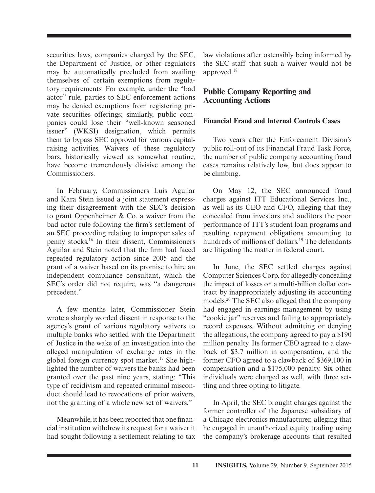securities laws, companies charged by the SEC, the Department of Justice, or other regulators may be automatically precluded from availing themselves of certain exemptions from regulatory requirements. For example, under the "bad actor" rule, parties to SEC enforcement actions may be denied exemptions from registering private securities offerings; similarly, public companies could lose their "well-known seasoned issuer" (WKSI) designation, which permits them to bypass SEC approval for various capitalraising activities. Waivers of these regulatory bars, historically viewed as somewhat routine, have become tremendously divisive among the Commissioners.

In February, Commissioners Luis Aguilar and Kara Stein issued a joint statement expressing their disagreement with the SEC's decision to grant Oppenheimer & Co. a waiver from the bad actor rule following the firm's settlement of an SEC proceeding relating to improper sales of penny stocks.16 In their dissent, Commissioners Aguilar and Stein noted that the firm had faced repeated regulatory action since 2005 and the grant of a waiver based on its promise to hire an independent compliance consultant, which the SEC's order did not require, was "a dangerous precedent."

A few months later, Commissioner Stein wrote a sharply worded dissent in response to the agency's grant of various regulatory waivers to multiple banks who settled with the Department of Justice in the wake of an investigation into the alleged manipulation of exchange rates in the global foreign currency spot market.<sup>17</sup> She highlighted the number of waivers the banks had been granted over the past nine years, stating: "This type of recidivism and repeated criminal misconduct should lead to revocations of prior waivers, not the granting of a whole new set of waivers."

Meanwhile, it has been reported that one financial institution withdrew its request for a waiver it had sought following a settlement relating to tax law violations after ostensibly being informed by the SEC staff that such a waiver would not be approved.18

#### **Public Company Reporting and Accounting Actions**

#### **Financial Fraud and Internal Controls Cases**

Two years after the Enforcement Division's public roll-out of its Financial Fraud Task Force, the number of public company accounting fraud cases remains relatively low, but does appear to be climbing.

On May 12, the SEC announced fraud charges against ITT Educational Services Inc., as well as its CEO and CFO, alleging that they concealed from investors and auditors the poor performance of ITT's student loan programs and resulting repayment obligations amounting to hundreds of millions of dollars.<sup>19</sup> The defendants are litigating the matter in federal court.

In June, the SEC settled charges against Computer Sciences Corp. for allegedly concealing the impact of losses on a multi-billion dollar contract by inappropriately adjusting its accounting models.20 The SEC also alleged that the company had engaged in earnings management by using "cookie jar" reserves and failing to appropriately record expenses. Without admitting or denying the allegations, the company agreed to pay a \$190 million penalty. Its former CEO agreed to a clawback of \$3.7 million in compensation, and the former CFO agreed to a clawback of \$369,100 in compensation and a \$175,000 penalty. Six other individuals were charged as well, with three settling and three opting to litigate.

In April, the SEC brought charges against the former controller of the Japanese subsidiary of a Chicago electronics manufacturer, alleging that he engaged in unauthorized equity trading using the company's brokerage accounts that resulted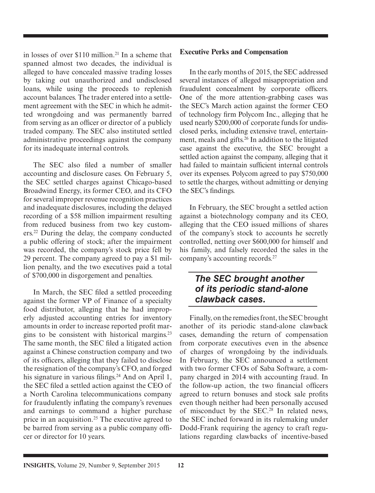in losses of over  $$110$  million.<sup>21</sup> In a scheme that spanned almost two decades, the individual is alleged to have concealed massive trading losses by taking out unauthorized and undisclosed loans, while using the proceeds to replenish account balances. The trader entered into a settlement agreement with the SEC in which he admitted wrongdoing and was permanently barred from serving as an officer or director of a publicly traded company. The SEC also instituted settled administrative proceedings against the company for its inadequate internal controls.

The SEC also filed a number of smaller accounting and disclosure cases. On February 5, the SEC settled charges against Chicago-based Broadwind Energy, its former CEO, and its CFO for several improper revenue recognition practices and inadequate disclosures, including the delayed recording of a \$58 million impairment resulting from reduced business from two key customers.22 During the delay, the company conducted a public offering of stock; after the impairment was recorded, the company's stock price fell by 29 percent. The company agreed to pay a \$1 million penalty, and the two executives paid a total of \$700,000 in disgorgement and penalties.

In March, the SEC filed a settled proceeding against the former VP of Finance of a specialty food distributor, alleging that he had improperly adjusted accounting entries for inventory amounts in order to increase reported profit margins to be consistent with historical margins.23 The same month, the SEC filed a litigated action against a Chinese construction company and two of its officers, alleging that they failed to disclose the resignation of the company's CFO, and forged his signature in various filings.<sup>24</sup> And on April 1, the SEC filed a settled action against the CEO of a North Carolina telecommunications company for fraudulently inflating the company's revenues and earnings to command a higher purchase price in an acquisition.<sup>25</sup> The executive agreed to be barred from serving as a public company officer or director for 10 years.

#### **Executive Perks and Compensation**

In the early months of 2015, the SEC addressed several instances of alleged misappropriation and fraudulent concealment by corporate officers. One of the more attention-grabbing cases was the SEC's March action against the former CEO of technology firm Polycom Inc., alleging that he used nearly \$200,000 of corporate funds for undisclosed perks, including extensive travel, entertainment, meals and gifts.26 In addition to the litigated case against the executive, the SEC brought a settled action against the company, alleging that it had failed to maintain sufficient internal controls over its expenses. Polycom agreed to pay \$750,000 to settle the charges, without admitting or denying the SEC's findings.

In February, the SEC brought a settled action against a biotechnology company and its CEO, alleging that the CEO issued millions of shares of the company's stock to accounts he secretly controlled, netting over \$600,000 for himself and his family, and falsely recorded the sales in the company's accounting records.27

### *The SEC brought another of its periodic stand-alone clawback cases.*

Finally, on the remedies front, the SEC brought another of its periodic stand-alone clawback cases, demanding the return of compensation from corporate executives even in the absence of charges of wrongdoing by the individuals. In February, the SEC announced a settlement with two former CFOs of Saba Software, a company charged in 2014 with accounting fraud. In the follow-up action, the two financial officers agreed to return bonuses and stock sale profits even though neither had been personally accused of misconduct by the SEC.<sup>28</sup> In related news, the SEC inched forward in its rulemaking under Dodd-Frank requiring the agency to craft regulations regarding clawbacks of incentive-based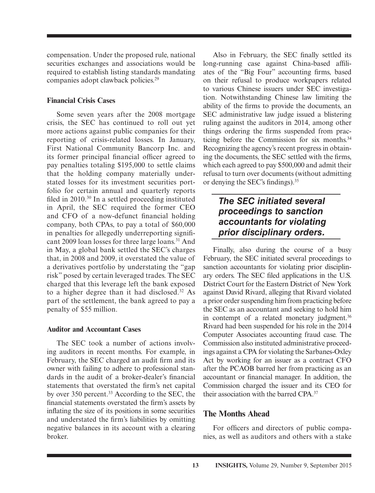compensation. Under the proposed rule, national securities exchanges and associations would be required to establish listing standards mandating companies adopt clawback policies.<sup>29</sup>

#### **Financial Crisis Cases**

Some seven years after the 2008 mortgage crisis, the SEC has continued to roll out yet more actions against public companies for their reporting of crisis-related losses. In January, First National Community Bancorp Inc. and its former principal financial officer agreed to pay penalties totaling \$195,000 to settle claims that the holding company materially understated losses for its investment securities portfolio for certain annual and quarterly reports filed in  $2010$ .<sup>30</sup> In a settled proceeding instituted in April, the SEC required the former CEO and CFO of a now-defunct financial holding company, both CPAs, to pay a total of \$60,000 in penalties for allegedly underreporting significant 2009 loan losses for three large loans.<sup>31</sup> And in May, a global bank settled the SEC's charges that, in 2008 and 2009, it overstated the value of a derivatives portfolio by understating the "gap risk" posed by certain leveraged trades. The SEC charged that this leverage left the bank exposed to a higher degree than it had disclosed.32 As part of the settlement, the bank agreed to pay a penalty of \$55 million.

#### **Auditor and Accountant Cases**

The SEC took a number of actions involving auditors in recent months. For example, in February, the SEC charged an audit firm and its owner with failing to adhere to professional standards in the audit of a broker-dealer's financial statements that overstated the firm's net capital by over 350 percent.<sup>33</sup> According to the SEC, the financial statements overstated the firm's assets by inflating the size of its positions in some securities and understated the firm's liabilities by omitting negative balances in its account with a clearing broker.

Also in February, the SEC finally settled its long-running case against China-based affiliates of the "Big Four" accounting firms, based on their refusal to produce workpapers related to various Chinese issuers under SEC investigation. Notwithstanding Chinese law limiting the ability of the firms to provide the documents, an SEC administrative law judge issued a blistering ruling against the auditors in 2014, among other things ordering the firms suspended from practicing before the Commission for six months.34 Recognizing the agency's recent progress in obtaining the documents, the SEC settled with the firms, which each agreed to pay \$500,000 and admit their refusal to turn over documents (without admitting or denying the SEC's findings). $35$ 

## *The SEC initiated several proceedings to sanction accountants for violating prior disciplinary orders.*

Finally, also during the course of a busy February, the SEC initiated several proceedings to sanction accountants for violating prior disciplinary orders. The SEC filed applications in the U.S. District Court for the Eastern District of New York against David Rivard, alleging that Rivard violated a prior order suspending him from practicing before the SEC as an accountant and seeking to hold him in contempt of a related monetary judgment.<sup>36</sup> Rivard had been suspended for his role in the 2014 Computer Associates accounting fraud case. The Commission also instituted administrative proceedings against a CPA for violating the Sarbanes-Oxley Act by working for an issuer as a contract CFO after the PCAOB barred her from practicing as an accountant or financial manager. In addition, the Commission charged the issuer and its CEO for their association with the barred CPA.37

#### **The Months Ahead**

For officers and directors of public companies, as well as auditors and others with a stake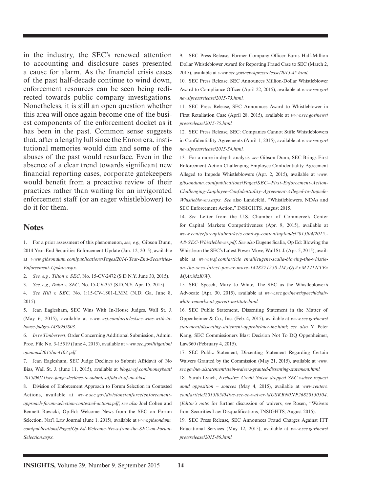in the industry, the SEC's renewed attention to accounting and disclosure cases presented a cause for alarm. As the financial crisis cases of the past half-decade continue to wind down, enforcement resources can be seen being redirected towards public company investigations. Nonetheless, it is still an open question whether this area will once again become one of the busiest components of the enforcement docket as it has been in the past. Common sense suggests that, after a lengthy lull since the Enron era, institutional memories would dim and some of the abuses of the past would resurface. Even in the absence of a clear trend towards significant new financial reporting cases, corporate gatekeepers would benefit from a proactive review of their practices rather than waiting for an invigorated enforcement staff (or an eager whistleblower) to do it for them.

#### **Notes**

1. For a prior assessment of this phenomenon, *see, e.g.,* Gibson Dunn, 2014 Year-End Securities Enforcement Update (Jan. 12, 2015), available at *www.gibsondunn.com/publications/Pages/2014-Year-End-Securities-Enforcement-Update.aspx.*

2. *See, e.g., Tilton v. SEC*, No. 15-CV-2472 (S.D.N.Y. June 30, 2015).

3. *See, e.g., Duka v. SEC*, No. 15-CV-357 (S.D.N.Y. Apr. 15, 2015).

4. *See Hill v. SEC*, No. 1:15-CV-1801-LMM (N.D. Ga. June 8, 2015).

5. Jean Eaglesham, SEC Wins With In-House Judges, Wall St. J. (May 6, 2015), available at *www.wsj.com/articles/sec-wins-with-inhouse-judges-1430965803.*

6. *In re Timbervest*, Order Concerning Additional Submission, Admin. Proc. File No. 3-15519 (June 4, 2015), available at *www.sec.gov/litigation/ opinions/2015/ia-4103.pdf.*

7. Jean Eaglesham, SEC Judge Declines to Submit Affidavit of No Bias, Wall St. J. (June 11, 2015), available at *blogs.wsj.com/moneybeat/ 2015/06/11/sec-judge-declines-to-submit-affidavit-of-no-bias/.*

8. Division of Enforcement Approach to Forum Selection in Contested Actions, available at *www.sec.gov/divisions/enforce/enforcementapproach-forum-selection-contested-actions.pdf*; *see also* Joel Cohen and Bennett Rawicki, Op-Ed: Welcome News from the SEC on Forum Selection, Nat'l Law Journal (June 1, 2015), available at *www.gibsondunn. com/publications/Pages/Op-Ed-Welcome-News-from-the-SEC-on-Forum-Selection.aspx.*

9. SEC Press Release, Former Company Officer Earns Half-Million Dollar Whistleblower Award for Reporting Fraud Case to SEC (March 2, 2015), available at *www.sec.gov/news/pressrelease/2015-45.html.*

10. SEC Press Release, SEC Announces Million-Dollar Whistleblower Award to Compliance Officer (April 22, 2015), available at *www.sec.gov/ news/pressrelease/2015-73.html.*

11. SEC Press Release, SEC Announces Award to Whistleblower in First Retaliation Case (April 28, 2015), available at *www.sec.gov/news/ pressrelease/2015-75.html.*

12. SEC Press Release, SEC: Companies Cannot Stifle Whistleblowers in Confidentiality Agreements (April 1, 2015), available at *www.sec.gov/ news/pressrelease/2015-54.html.*

13. For a more in-depth analysis, *see* Gibson Dunn, SEC Brings First Enforcement Action Challenging Employee Confidentiality Agreement Alleged to Impede Whistleblowers (Apr. 2, 2015), available at *www. gibsondunn.com/publications/Pages/SEC--First-Enforcement-Action-Challenging-Employee-Confidentiality-Agreement-Alleged-to-Impede-Whistleblowers.aspx. See* also Landefeld, "Whistleblowers, NDAs and SEC Enforcement Action," INSIGHTS, August 2015.

14. *See* Letter from the U.S. Chamber of Commerce's Center for Capital Markets Competitiveness (Apr. 9, 2015), available at *www.centerforcapitalmarkets.com/wp-content/uploads/2015/04/2015.- 4.8-SEC-Whistleblower.pdf*. *See also* Eugene Scalia, Op Ed: Blowing the Whistle on the SEC's Latest Power Move, Wall St. J. (Apr. 5, 2015), available at *www.wsj.com/article\_email/eugene-scalia-blowing-the-whistleon-the-secs-latest-power-move-1428271250-lMyQjAxMTI1NTEz MjAxMzI0Wj.*

15. SEC Speech, Mary Jo White, The SEC as the Whistleblower's Advocate (Apr. 30, 2015), available at *www.sec.gov/news/speech/chairwhite-remarks-at-garrett-institute.html.*

16. SEC Public Statement, Dissenting Statement in the Matter of Oppenheimer & Co., Inc. (Feb. 4, 2015), available at *www.sec.gov/news/ statement/dissenting-statement-oppenheimer-inc.html*; *see also* Y. Peter Kang, SEC Commissioners Blast Decision Not To DQ Oppenheimer, Law360 (February 4, 2015).

17. SEC Public Statement, Dissenting Statement Regarding Certain Waivers Granted by the Commission (May 21, 2015), available at *www. sec.gov/news/statement/stein-waivers-granted-dissenting-statement.html.*

18. Sarah Lynch, *Exclusive: Credit Suisse dropped SEC waiver request amid opposition – sources* (May 4, 2015), available at *www.reuters. com/article/2015/05/04/us-sec-se-waiver-idUSKBN0NP26820150504*. (*Editor's note*: for further discussion of waivers, *see* Rosen, "Waivers from Securities Law Disqualifications, INSIGHTS, August 2015).

19. SEC Press Release, SEC Announces Fraud Charges Against ITT Educational Services (May 12, 2015), available at *www.sec.gov/news/ pressrelease/2015-86.html.*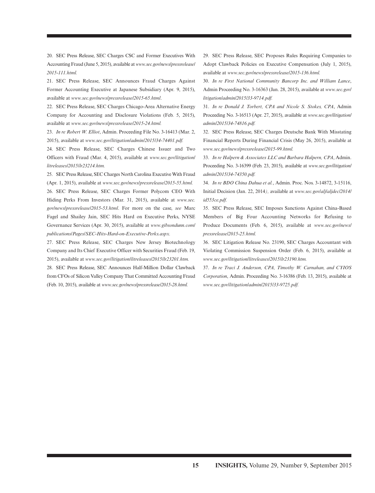20. SEC Press Release, SEC Charges CSC and Former Executives With Accounting Fraud (June 5, 2015), available at *www.sec.gov/news/pressrelease/ 2015-111.html.*

21. SEC Press Release, SEC Announces Fraud Charges Against Former Accounting Executive at Japanese Subsidiary (Apr. 9, 2015), available at *www.sec.gov/news/pressrelease/2015-65.html*.

22. SEC Press Release, SEC Charges Chicago-Area Alternative Energy Company for Accounting and Disclosure Violations (Feb. 5, 2015), available at *www.sec.gov/news/pressrelease/2015-24.html.*

23. *In re Robert W. Elliot*, Admin. Proceeding File No. 3-16413 (Mar. 2, 2015), available at *www.sec.gov/litigation/admin/2015/34-74401.pdf.*

24. SEC Press Release, SEC Charges Chinese Issuer and Two Officers with Fraud (Mar. 4, 2015), available at *www.sec.gov/litigation/ litreleases/2015/lr23214.htm.*

25. SEC Press Release, SEC Charges North Carolina Executive With Fraud (Apr. 1, 2015), available at *www.sec.gov/news/pressrelease/2015-55.html.* 26. SEC Press Release, SEC Charges Former Polycom CEO With Hiding Perks From Investors (Mar. 31, 2015), available at *www.sec. gov/news/pressrelease/2015-53.html*. For more on the case, *see* Marc Fagel and Shailey Jain, SEC Hits Hard on Executive Perks, NYSE Governance Services (Apr. 30, 2015), available at *www.gibsondunn.com/ publications/Pages/SEC-Hits-Hard-on-Executive-Perks.aspx.*

27. SEC Press Release, SEC Charges New Jersey Biotechnology Company and Its Chief Executive Officer with Securities Fraud (Feb. 19, 2015), available at *www.sec.gov/litigation/litreleases/2015/lr23201.htm.*

28. SEC Press Release, SEC Announces Half-Million Dollar Clawback from CFOs of Silicon Valley Company That Committed Accounting Fraud (Feb. 10, 2015), available at *www.sec.gov/news/pressrelease/2015-28.html.*

29. SEC Press Release, SEC Proposes Rules Requiring Companies to Adopt Clawback Policies on Executive Compensation (July 1, 2015), available at *www.sec.gov/news/pressrelease/2015-136.html.*

30. *In re First National Community Bancorp Inc. and William Lance*, Admin Proceeding No. 3-16363 (Jan. 28, 2015), available at *www.sec.gov/ litigation/admin/2015/33-9714.pdf.*

31. *In re Donald J. Torbert, CPA and Nicole S. Stokes, CPA*, Admin Proceeding No. 3-16513 (Apr. 27, 2015), available at *www.sec.gov/litigation/ admin/2015/34-74816.pdf.*

32. SEC Press Release, SEC Charges Deutsche Bank With Misstating Financial Reports During Financial Crisis (May 26, 2015), available at *www.sec.gov/news/pressrelease/2015-99.html.*

33. *In re Halpern & Associates LLC and Barbara Halpern, CPA*, Admin. Proceeding No. 3-16399 (Feb. 23, 2015), available at *www.sec.gov/litigation/ admin/2015/34-74350.pdf.*

34. *In re BDO China Dahua et al.*, Admin. Proc. Nos. 3-14872, 3-15116, Initial Decision (Jan. 22, 2014*),* available at *www.sec.gov/alj/aljdec/2014/ id553ce.pdf.*

35. SEC Press Release, SEC Imposes Sanctions Against China-Based Members of Big Four Accounting Networks for Refusing to Produce Documents (Feb. 6, 2015), available at *www.sec.gov/news/ pressrelease/2015-25.html.*

36. SEC Litigation Release No. 23190, SEC Charges Accountant with Violating Commission Suspension Order (Feb. 6, 2015), available at *www.sec.gov/litigation/litreleases/2015/lr23190.htm.*

37. *In re Traci J. Anderson, CPA, Timothy W. Carnahan, and CYIOS Corporation*, Admin. Proceeding No. 3-16386 (Feb. 13, 2015), available at *www.sec.gov/litigation/admin/2015/33-9725.pdf.*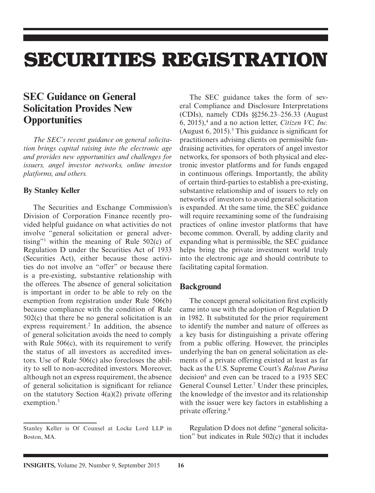# **SECURITIES REGISTRATION**

## **SEC Guidance on General Solicitation Provides New Opportunities**

*The SEC's recent guidance on general solicitation brings capital raising into the electronic age and provides new opportunities and challenges for issuers, angel investor networks, online investor platforms, and others.*

#### **By Stanley Keller**

The Securities and Exchange Commission's Division of Corporation Finance recently provided helpful guidance on what activities do not involve "general solicitation or general advertising"1 within the meaning of Rule 502(c) of Regulation D under the Securities Act of 1933 (Securities Act), either because those activities do not involve an "offer" or because there is a pre-existing, substantive relationship with the offerees. The absence of general solicitation is important in order to be able to rely on the exemption from registration under Rule 506(b) because compliance with the condition of Rule 502(c) that there be no general solicitation is an express requirement.<sup>2</sup> In addition, the absence of general solicitation avoids the need to comply with Rule 506(c), with its requirement to verify the status of all investors as accredited investors. Use of Rule 506(c) also forecloses the ability to sell to non-accredited investors. Moreover, although not an express requirement, the absence of general solicitation is significant for reliance on the statutory Section  $4(a)(2)$  private offering exemption.<sup>3</sup>

The SEC guidance takes the form of several Compliance and Disclosure Interpretations (CDIs), namely CDIs §§256.23–256.33 (August 6, 2015),4 and a no action letter, *Citizen VC, Inc.* (August 6, 2015).<sup>5</sup> This guidance is significant for practitioners advising clients on permissible fundraising activities, for operators of angel investor networks, for sponsors of both physical and electronic investor platforms and for funds engaged in continuous offerings. Importantly, the ability of certain third-parties to establish a pre-existing, substantive relationship and of issuers to rely on networks of investors to avoid general solicitation is expanded. At the same time, the SEC guidance will require reexamining some of the fundraising practices of online investor platforms that have become common. Overall, by adding clarity and expanding what is permissible, the SEC guidance helps bring the private investment world truly into the electronic age and should contribute to facilitating capital formation.

#### **Background**

The concept general solicitation first explicitly came into use with the adoption of Regulation D in 1982. It substituted for the prior requirement to identify the number and nature of offerees as a key basis for distinguishing a private offering from a public offering. However, the principles underlying the ban on general solicitation as elements of a private offering existed at least as far back as the U.S. Supreme Court's *Ralston Purina* decision<sup>6</sup> and even can be traced to a 1935 SEC General Counsel Letter.<sup>7</sup> Under these principles, the knowledge of the investor and its relationship with the issuer were key factors in establishing a private offering.8

Regulation D does not define "general solicitation" but indicates in Rule 502(c) that it includes

Stanley Keller is Of Counsel at Locke Lord LLP in Boston, MA.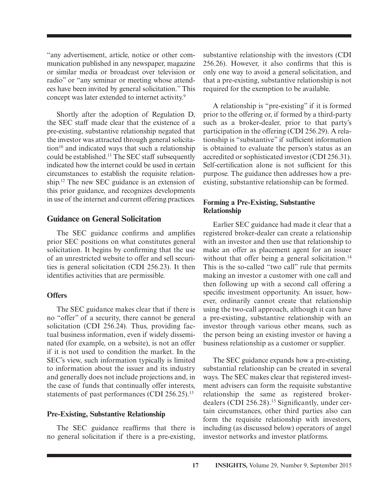"any advertisement, article, notice or other communication published in any newspaper, magazine or similar media or broadcast over television or radio" or "any seminar or meeting whose attendees have been invited by general solicitation." This concept was later extended to internet activity.<sup>9</sup>

Shortly after the adoption of Regulation D, the SEC staff made clear that the existence of a pre-existing, substantive relationship negated that the investor was attracted through general solicitation $10$  and indicated ways that such a relationship could be established.11 The SEC staff subsequently indicated how the internet could be used in certain circumstances to establish the requisite relationship.12 The new SEC guidance is an extension of this prior guidance, and recognizes developments in use of the internet and current offering practices.

#### **Guidance on General Solicitation**

The SEC guidance confirms and amplifies prior SEC positions on what constitutes general solicitation. It begins by confirming that the use of an unrestricted website to offer and sell securities is general solicitation (CDI 256.23). It then identifies activities that are permissible.

#### **Offers**

The SEC guidance makes clear that if there is no "offer" of a security, there cannot be general solicitation (CDI 256.24). Thus, providing factual business information, even if widely disseminated (for example, on a website), is not an offer if it is not used to condition the market. In the SEC's view, such information typically is limited to information about the issuer and its industry and generally does not include projections and, in the case of funds that continually offer interests, statements of past performances (CDI 256.25).<sup>13</sup>

#### **Pre-Existing, Substantive Relationship**

The SEC guidance reaffirms that there is no general solicitation if there is a pre-existing, substantive relationship with the investors (CDI  $256.26$ ). However, it also confirms that this is only one way to avoid a general solicitation, and that a pre-existing, substantive relationship is not required for the exemption to be available.

A relationship is "pre-existing" if it is formed prior to the offering or, if formed by a third-party such as a broker-dealer, prior to that party's participation in the offering (CDI 256.29). A relationship is "substantive" if sufficient information is obtained to evaluate the person's status as an accredited or sophisticated investor (CDI 256.31). Self-certification alone is not sufficient for this purpose. The guidance then addresses how a preexisting, substantive relationship can be formed.

#### **Forming a Pre-Existing, Substantive Relationship**

Earlier SEC guidance had made it clear that a registered broker-dealer can create a relationship with an investor and then use that relationship to make an offer as placement agent for an issuer without that offer being a general solicitation.<sup>14</sup> This is the so-called "two call" rule that permits making an investor a customer with one call and then following up with a second call offering a specific investment opportunity. An issuer, however, ordinarily cannot create that relationship using the two-call approach, although it can have a pre-existing, substantive relationship with an investor through various other means, such as the person being an existing investor or having a business relationship as a customer or supplier.

The SEC guidance expands how a pre-existing, substantial relationship can be created in several ways. The SEC makes clear that registered investment advisers can form the requisite substantive relationship the same as registered brokerdealers (CDI 256.28).<sup>15</sup> Significantly, under certain circumstances, other third parties also can form the requisite relationship with investors, including (as discussed below) operators of angel investor networks and investor platforms.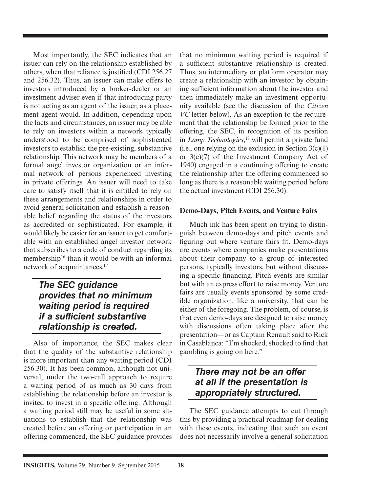Most importantly, the SEC indicates that an issuer can rely on the relationship established by others, when that reliance is justified (CDI 256.27) and 256.32). Thus, an issuer can make offers to investors introduced by a broker-dealer or an investment adviser even if that introducing party is not acting as an agent of the issuer, as a placement agent would. In addition, depending upon the facts and circumstances, an issuer may be able to rely on investors within a network typically understood to be comprised of sophisticated investors to establish the pre-existing, substantive relationship. This network may be members of a formal angel investor organization or an informal network of persons experienced investing in private offerings. An issuer will need to take care to satisfy itself that it is entitled to rely on these arrangements and relationships in order to avoid general solicitation and establish a reasonable belief regarding the status of the investors as accredited or sophisticated. For example, it would likely be easier for an issuer to get comfortable with an established angel investor network that subscribes to a code of conduct regarding its membership<sup>16</sup> than it would be with an informal network of acquaintances.<sup>17</sup>

## *The SEC guidance provides that no minimum waiting period is required if a sufficient substantive relationship is created.*

Also of importance, the SEC makes clear that the quality of the substantive relationship is more important than any waiting period (CDI 256.30). It has been common, although not universal, under the two-call approach to require a waiting period of as much as 30 days from establishing the relationship before an investor is invited to invest in a specific offering. Although a waiting period still may be useful in some situations to establish that the relationship was created before an offering or participation in an offering commenced, the SEC guidance provides that no minimum waiting period is required if a sufficient substantive relationship is created. Thus, an intermediary or platform operator may create a relationship with an investor by obtaining sufficient information about the investor and then immediately make an investment opportunity available (see the discussion of the *Citizen VC* letter below). As an exception to the requirement that the relationship be formed prior to the offering, the SEC, in recognition of its position in *Lamp Technologies*, 18 will permit a private fund (i.e., one relying on the exclusion in Section  $3(c)(1)$ ) or 3(c)(7) of the Investment Company Act of 1940) engaged in a continuing offering to create the relationship after the offering commenced so long as there is a reasonable waiting period before the actual investment (CDI 256.30).

#### **Demo-Days, Pitch Events, and Venture Fairs**

Much ink has been spent on trying to distinguish between demo-days and pitch events and figuring out where venture fairs fit. Demo-days are events where companies make presentations about their company to a group of interested persons, typically investors, but without discussing a specific financing. Pitch events are similar but with an express effort to raise money. Venture fairs are usually events sponsored by some credible organization, like a university, that can be either of the foregoing. The problem, of course, is that even demo-days are designed to raise money with discussions often taking place after the presentation—or as Captain Renault said to Rick in Casablanca: "I'm shocked, shocked to find that gambling is going on here."

## *There may not be an offer at all if the presentation is appropriately structured.*

The SEC guidance attempts to cut through this by providing a practical roadmap for dealing with these events, indicating that such an event does not necessarily involve a general solicitation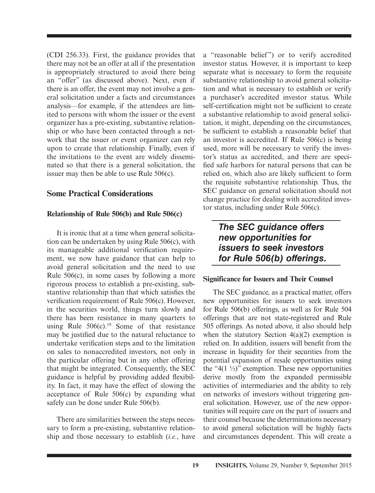(CDI 256.33). First, the guidance provides that there may not be an offer at all if the presentation is appropriately structured to avoid there being an "offer" (as discussed above). Next, even if there is an offer, the event may not involve a general solicitation under a facts and circumstances analysis—for example, if the attendees are limited to persons with whom the issuer or the event organizer has a pre-existing, substantive relationship or who have been contacted through a network that the issuer or event organizer can rely upon to create that relationship. Finally, even if the invitations to the event are widely disseminated so that there is a general solicitation, the issuer may then be able to use Rule 506(c).

#### **Some Practical Considerations**

#### **Relationship of Rule 506(b) and Rule 506(c)**

It is ironic that at a time when general solicitation can be undertaken by using Rule 506(c), with its manageable additional verification requirement, we now have guidance that can help to avoid general solicitation and the need to use Rule 506(c), in some cases by following a more rigorous process to establish a pre-existing, substantive relationship than that which satisfies the verification requirement of Rule  $506(c)$ . However, in the securities world, things turn slowly and there has been resistance in many quarters to using Rule  $506(c)$ .<sup>19</sup> Some of that resistance may be justified due to the natural reluctance to undertake verification steps and to the limitation on sales to nonaccredited investors, not only in the particular offering but in any other offering that might be integrated. Consequently, the SEC guidance is helpful by providing added flexibility. In fact, it may have the effect of slowing the acceptance of Rule 506(c) by expanding what safely can be done under Rule 506(b).

There are similarities between the steps necessary to form a pre-existing, substantive relationship and those necessary to establish (*i.e.*, have a "reasonable belief") or to verify accredited investor status. However, it is important to keep separate what is necessary to form the requisite substantive relationship to avoid general solicitation and what is necessary to establish or verify a purchaser's accredited investor status. While self-certification might not be sufficient to create a substantive relationship to avoid general solicitation, it might, depending on the circumstances, be sufficient to establish a reasonable belief that an investor is accredited. If Rule 506(c) is being used, more will be necessary to verify the investor's status as accredited, and there are specified safe harbors for natural persons that can be relied on, which also are likely sufficient to form the requisite substantive relationship. Thus, the SEC guidance on general solicitation should not change practice for dealing with accredited investor status, including under Rule 506(c).

## *The SEC guidance offers new opportunities for issuers to seek investors for Rule 506(b) offerings.*

#### **Significance for Issuers and Their Counsel**

The SEC guidance, as a practical matter, offers new opportunities for issuers to seek investors for Rule 506(b) offerings, as well as for Rule 504 offerings that are not state-registered and Rule 505 offerings. As noted above, it also should help when the statutory Section  $4(a)(2)$  exemption is relied on. In addition, issuers will benefit from the increase in liquidity for their securities from the potential expansion of resale opportunities using the "4(1  $\frac{1}{2}$ )" exemption. These new opportunities derive mostly from the expanded permissible activities of intermediaries and the ability to rely on networks of investors without triggering general solicitation. However, use of the new opportunities will require care on the part of issuers and their counsel because the determinations necessary to avoid general solicitation will be highly facts and circumstances dependent. This will create a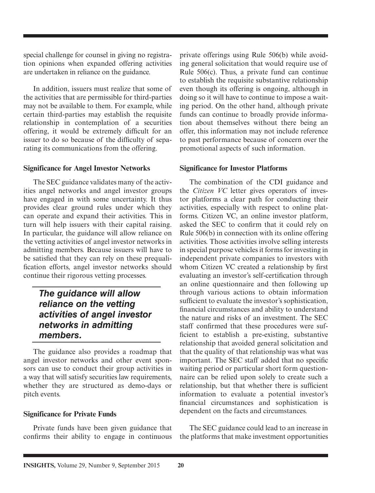special challenge for counsel in giving no registration opinions when expanded offering activities are undertaken in reliance on the guidance.

In addition, issuers must realize that some of the activities that are permissible for third-parties may not be available to them. For example, while certain third-parties may establish the requisite relationship in contemplation of a securities offering, it would be extremely difficult for an issuer to do so because of the difficulty of separating its communications from the offering.

#### **Significance for Angel Investor Networks**

The SEC guidance validates many of the activities angel networks and angel investor groups have engaged in with some uncertainty. It thus provides clear ground rules under which they can operate and expand their activities. This in turn will help issuers with their capital raising. In particular, the guidance will allow reliance on the vetting activities of angel investor networks in admitting members. Because issuers will have to be satisfied that they can rely on these prequalification efforts, angel investor networks should continue their rigorous vetting processes.

### *The guidance will allow reliance on the vetting activities of angel investor networks in admitting members.*

The guidance also provides a roadmap that angel investor networks and other event sponsors can use to conduct their group activities in a way that will satisfy securities law requirements, whether they are structured as demo-days or pitch events.

#### **Significance for Private Funds**

Private funds have been given guidance that confirms their ability to engage in continuous private offerings using Rule 506(b) while avoiding general solicitation that would require use of Rule 506(c). Thus, a private fund can continue to establish the requisite substantive relationship even though its offering is ongoing, although in doing so it will have to continue to impose a waiting period. On the other hand, although private funds can continue to broadly provide information about themselves without there being an offer, this information may not include reference to past performance because of concern over the promotional aspects of such information.

#### **Significance for Investor Platforms**

The combination of the CDI guidance and the *Citizen VC* letter gives operators of investor platforms a clear path for conducting their activities, especially with respect to online platforms. Citizen VC, an online investor platform, asked the SEC to confirm that it could rely on Rule 506(b) in connection with its online offering activities. Those activities involve selling interests in special purpose vehicles it forms for investing in independent private companies to investors with whom Citizen VC created a relationship by first evaluating an investor's self-certification through an online questionnaire and then following up through various actions to obtain information sufficient to evaluate the investor's sophistication, financial circumstances and ability to understand the nature and risks of an investment. The SEC staff confirmed that these procedures were sufficient to establish a pre-existing, substantive relationship that avoided general solicitation and that the quality of that relationship was what was important. The SEC staff added that no specific waiting period or particular short form questionnaire can be relied upon solely to create such a relationship, but that whether there is sufficient information to evaluate a potential investor's financial circumstances and sophistication is dependent on the facts and circumstances.

The SEC guidance could lead to an increase in the platforms that make investment opportunities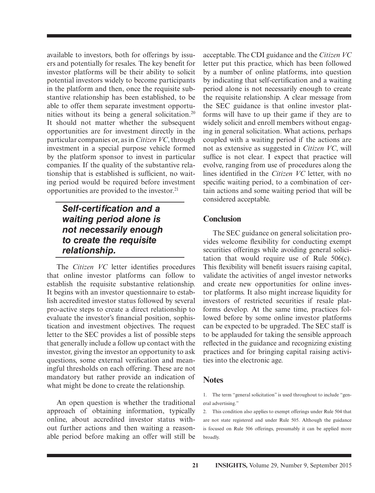available to investors, both for offerings by issuers and potentially for resales. The key benefit for investor platforms will be their ability to solicit potential investors widely to become participants in the platform and then, once the requisite substantive relationship has been established, to be able to offer them separate investment opportunities without its being a general solicitation.<sup>20</sup> It should not matter whether the subsequent opportunities are for investment directly in the particular companies or, as in *Citizen VC*, through investment in a special purpose vehicle formed by the platform sponsor to invest in particular companies. If the quality of the substantive relationship that is established is sufficient, no waiting period would be required before investment opportunities are provided to the investor.21

## **Self-certification and a** *waiting period alone is not necessarily enough to create the requisite relationship.*

The *Citizen VC* letter identifies procedures that online investor platforms can follow to establish the requisite substantive relationship. It begins with an investor questionnaire to establish accredited investor status followed by several pro-active steps to create a direct relationship to evaluate the investor's financial position, sophistication and investment objectives. The request letter to the SEC provides a list of possible steps that generally include a follow up contact with the investor, giving the investor an opportunity to ask questions, some external verification and meaningful thresholds on each offering. These are not mandatory but rather provide an indication of what might be done to create the relationship.

An open question is whether the traditional approach of obtaining information, typically online, about accredited investor status without further actions and then waiting a reasonable period before making an offer will still be

acceptable. The CDI guidance and the *Citizen VC* letter put this practice, which has been followed by a number of online platforms, into question by indicating that self-certification and a waiting period alone is not necessarily enough to create the requisite relationship. A clear message from the SEC guidance is that online investor platforms will have to up their game if they are to widely solicit and enroll members without engaging in general solicitation. What actions, perhaps coupled with a waiting period if the actions are not as extensive as suggested in *Citizen VC*, will suffice is not clear. I expect that practice will evolve, ranging from use of procedures along the lines identified in the *Citizen VC* letter, with no specific waiting period, to a combination of certain actions and some waiting period that will be considered acceptable.

#### **Conclusion**

The SEC guidance on general solicitation provides welcome flexibility for conducting exempt securities offerings while avoiding general solicitation that would require use of Rule 506(c). This flexibility will benefit issuers raising capital, validate the activities of angel investor networks and create new opportunities for online investor platforms. It also might increase liquidity for investors of restricted securities if resale platforms develop. At the same time, practices followed before by some online investor platforms can be expected to be upgraded. The SEC staff is to be applauded for taking the sensible approach reflected in the guidance and recognizing existing practices and for bringing capital raising activities into the electronic age.

#### **Notes**

2. This condition also applies to exempt offerings under Rule 504 that are not state registered and under Rule 505. Although the guidance is focused on Rule 506 offerings, presumably it can be applied more broadly.

<sup>1.</sup> The term "general solicitation" is used throughout to include "general advertising."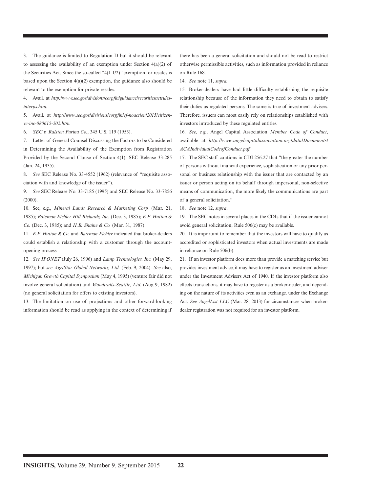3. The guidance is limited to Regulation D but it should be relevant to assessing the availability of an exemption under Section 4(a)(2) of the Securities Act. Since the so-called "4(1 1/2)" exemption for resales is based upon the Section  $4(a)(2)$  exemption, the guidance also should be relevant to the exemption for private resales.

4. Avail. at *http://www.sec.gov/divisions/corpfin/guidance/securitiesactrulesinterps.htm.*

5. Avail. at *http://www.sec.gov/divisions/corpfin/cf-noaction/2015/citizenvc-inc-080615-502.htm.*

6. *SEC v. Ralston Purina Co.*, 345 U.S. 119 (1953).

7. Letter of General Counsel Discussing the Factors to be Considered in Determining the Availability of the Exemption from Registration Provided by the Second Clause of Section 4(1), SEC Release 33-285 (Jan. 24, 1935).

8. *See* SEC Release No. 33-4552 (1962) (relevance of "requisite association with and knowledge of the issuer").

9. *See* SEC Release No. 33-7185 (1995) and SEC Release No. 33-7856 (2000).

10. See, e.g., *Mineral Lands Research & Marketing Corp.* (Mar. 21, 1985); *Bateman Eichler Hill Richards, Inc.* (Dec. 3, 1985); *E.F. Hutton & Co.* (Dec. 3, 1985); and *H.B. Shaine & Co.* (Mar. 31, 1987).

11. *E.F. Hutton & Co.* and *Bateman Eichler* indicated that broker-dealers could establish a relationship with a customer through the accountopening process.

12. *See IPONET* (July 26, 1996) and *Lamp Technologies, Inc.* (May 29, 1997); but *see AgriStar Global Networks, Ltd.* (Feb. 9, 2004). *See* also, *Michigan Growth Capital Symposium* (May 4, 1995) (venture fair did not involve general solicitation) and *Woodtrails-Seattle, Ltd.* (Aug 9, 1982) (no general solicitation for offers to existing investors).

13. The limitation on use of projections and other forward-looking information should be read as applying in the context of determining if there has been a general solicitation and should not be read to restrict otherwise permissible activities, such as information provided in reliance on Rule 168.

14. *See* note 11, *supra.*

15. Broker-dealers have had little difficulty establishing the requisite relationship because of the information they need to obtain to satisfy their duties as regulated persons. The same is true of investment advisers. Therefore, issuers can most easily rely on relationships established with investors introduced by these regulated entities.

16. *See, e.g.*, Angel Capital Association *Member Code of Conduct*, available at *http://www.angelcapitalassociation.org/data/Documents/ ACAIndividualCodeofConduct.pdf.*

17. The SEC staff cautions in CDI 256.27 that "the greater the number of persons without financial experience, sophistication or any prior personal or business relationship with the issuer that are contacted by an issuer or person acting on its behalf through impersonal, non-selective means of communication, the more likely the communications are part of a general solicitation."

18. *See* note 12, *supra*.

19. The SEC notes in several places in the CDIs that if the issuer cannot avoid general solicitation, Rule 506(c) may be available.

20. It is important to remember that the investors will have to qualify as accredited or sophisticated investors when actual investments are made in reliance on Rule 506(b).

21. If an investor platform does more than provide a matching service but provides investment advice, it may have to register as an investment adviser under the Investment Advisers Act of 1940. If the investor platform also effects transactions, it may have to register as a broker-dealer, and depending on the nature of its activities even as an exchange, under the Exchange Act. *See AngelList LLC* (Mar. 28, 2013) for circumstances when brokerdealer registration was not required for an investor platform.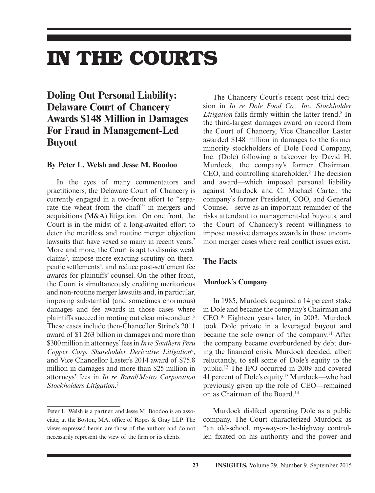## **IN THE COURTS**

## **Doling Out Personal Liability: Delaware Court of Chancery Awards \$148 Million in Damages For Fraud in Management-Led Buyout**

#### **By Peter L. Welsh and Jesse M. Boodoo**

In the eyes of many commentators and practitioners, the Delaware Court of Chancery is currently engaged in a two-front effort to "separate the wheat from the chaff" in mergers and acquisitions (M&A) litigation.<sup>1</sup> On one front, the Court is in the midst of a long-awaited effort to deter the meritless and routine merger objection lawsuits that have vexed so many in recent years.<sup>2</sup> More and more, the Court is apt to dismiss weak claims<sup>3</sup>, impose more exacting scrutiny on therapeutic settlements4 , and reduce post-settlement fee awards for plaintiffs' counsel. On the other front, the Court is simultaneously crediting meritorious and non-routine merger lawsuits and, in particular, imposing substantial (and sometimes enormous) damages and fee awards in those cases where plaintiffs succeed in rooting out clear misconduct.5 These cases include then-Chancellor Strine's 2011 award of \$1.263 billion in damages and more than \$300 million in attorneys' fees in *In re Southern Peru*  Copper Corp. Shareholder Derivative Litigation<sup>6</sup>, and Vice Chancellor Laster's 2014 award of \$75.8 million in damages and more than \$25 million in attorneys' fees in *In re Rural/Metro Corporation Stockholders Litigation*. 7

The Chancery Court's recent post-trial decision in *In re Dole Food Co., Inc. Stockholder*  Litigation falls firmly within the latter trend.<sup>8</sup> In the third-largest damages award on record from the Court of Chancery, Vice Chancellor Laster awarded \$148 million in damages to the former minority stockholders of Dole Food Company, Inc. (Dole) following a takeover by David H. Murdock, the company's former Chairman, CEO, and controlling shareholder.<sup>9</sup> The decision and award—which imposed personal liability against Murdock and C. Michael Carter, the company's former President, COO, and General Counsel—serve as an important reminder of the risks attendant to management-led buyouts, and the Court of Chancery's recent willingness to impose massive damages awards in those uncommon merger cases where real conflict issues exist.

#### **The Facts**

#### **Murdock's Company**

In 1985, Murdock acquired a 14 percent stake in Dole and became the company's Chairman and CEO.10 Eighteen years later, in 2003, Murdock took Dole private in a leveraged buyout and became the sole owner of the company.<sup>11</sup> After the company became overburdened by debt during the financial crisis, Murdock decided, albeit reluctantly, to sell some of Dole's equity to the public.12 The IPO occurred in 2009 and covered 41 percent of Dole's equity.13 Murdock—who had previously given up the role of CEO—remained on as Chairman of the Board.14

Murdock disliked operating Dole as a public company. The Court characterized Murdock as "an old-school, my-way-or-the-highway controller, fixated on his authority and the power and

Peter L. Welsh is a partner, and Jesse M. Boodoo is an associate, at the Boston, MA, office of Ropes & Gray LLP. The views expressed herein are those of the authors and do not necessarily represent the view of the firm or its clients.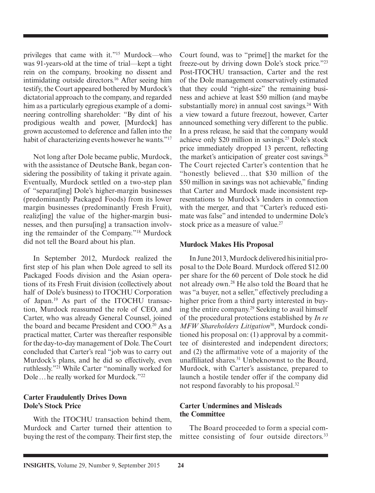privileges that came with it."15 Murdock—who was 91-years-old at the time of trial—kept a tight rein on the company, brooking no dissent and intimidating outside directors.16 After seeing him testify, the Court appeared bothered by Murdock's dictatorial approach to the company, and regarded him as a particularly egregious example of a domineering controlling shareholder: "By dint of his prodigious wealth and power, [Murdock] has grown accustomed to deference and fallen into the habit of characterizing events however he wants."<sup>17</sup>

Not long after Dole became public, Murdock, with the assistance of Deutsche Bank, began considering the possibility of taking it private again. Eventually, Murdock settled on a two-step plan of "separat[ing] Dole's higher-margin businesses (predominantly Packaged Foods) from its lower margin businesses (predominantly Fresh Fruit), realiz[ing] the value of the higher-margin businesses, and then pursu[ing] a transaction involving the remainder of the Company."18 Murdock did not tell the Board about his plan.

In September 2012, Murdock realized the first step of his plan when Dole agreed to sell its Packaged Foods division and the Asian operations of its Fresh Fruit division (collectively about half of Dole's business) to ITOCHU Corporation of Japan.19 As part of the ITOCHU transaction, Murdock reassumed the role of CEO, and Carter, who was already General Counsel, joined the board and became President and COO.<sup>20</sup> As a practical matter, Carter was thereafter responsible for the day-to-day management of Dole. The Court concluded that Carter's real "job was to carry out Murdock's plans, and he did so effectively, even ruthlessly."21 While Carter "nominally worked for Dole … he really worked for Murdock."22

#### **Carter Fraudulently Drives Down Dole's Stock Price**

With the ITOCHU transaction behind them. Murdock and Carter turned their attention to buying the rest of the company. Their first step, the

Court found, was to "prime[] the market for the freeze-out by driving down Dole's stock price."23 Post-ITOCHU transaction, Carter and the rest of the Dole management conservatively estimated that they could "right-size" the remaining business and achieve at least \$50 million (and maybe substantially more) in annual cost savings. $24$  With a view toward a future freezout, however, Carter announced something very different to the public. In a press release, he said that the company would achieve only \$20 million in savings.25 Dole's stock price immediately dropped 13 percent, reflecting the market's anticipation of greater cost savings.<sup>26</sup> The Court rejected Carter's contention that he "honestly believed … that \$30 million of the \$50 million in savings was not achievable," finding that Carter and Murdock made inconsistent representations to Murdock's lenders in connection with the merger, and that "Carter's reduced estimate was false" and intended to undermine Dole's stock price as a measure of value.<sup>27</sup>

#### **Murdock Makes His Proposal**

In June 2013, Murdock delivered his initial proposal to the Dole Board. Murdock offered \$12.00 per share for the 60 percent of Dole stock he did not already own.28 He also told the Board that he was "a buyer, not a seller," effectively precluding a higher price from a third party interested in buying the entire company.29 Seeking to avail himself of the procedural protections established by *In re MFW Shareholders Litigation*30, Murdock conditioned his proposal on: (1) approval by a committee of disinterested and independent directors; and (2) the affirmative vote of a majority of the unaffiliated shares.<sup>31</sup> Unbeknownst to the Board, Murdock, with Carter's assistance, prepared to launch a hostile tender offer if the company did not respond favorably to his proposal.32

#### **Carter Undermines and Misleads the Committee**

The Board proceeded to form a special committee consisting of four outside directors.<sup>33</sup>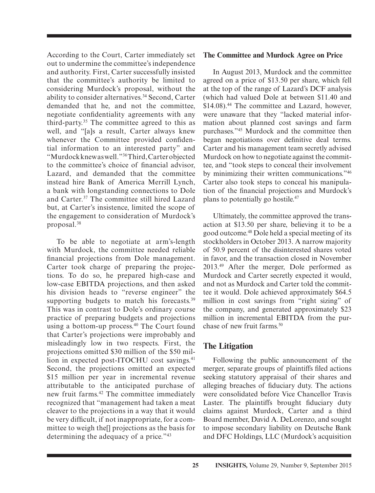According to the Court, Carter immediately set out to undermine the committee's independence and authority. First, Carter successfully insisted that the committee's authority be limited to considering Murdock's proposal, without the ability to consider alternatives.34 Second, Carter demanded that he, and not the committee, negotiate confidentiality agreements with any third-party.35 The committee agreed to this as well, and "[a]s a result, Carter always knew whenever the Committee provided confidential information to an interested party" and "Murdock knew as well."36 Third, Carter objected to the committee's choice of financial advisor, Lazard, and demanded that the committee instead hire Bank of America Merrill Lynch, a bank with longstanding connections to Dole and Carter.37 The committee still hired Lazard but, at Carter's insistence, limited the scope of the engagement to consideration of Murdock's proposal.38

To be able to negotiate at arm's-length with Murdock, the committee needed reliable financial projections from Dole management. Carter took charge of preparing the projections. To do so, he prepared high-case and low-case EBITDA projections, and then asked his division heads to "reverse engineer" the supporting budgets to match his forecasts.<sup>39</sup> This was in contrast to Dole's ordinary course practice of preparing budgets and projections using a bottom-up process.<sup>40</sup> The Court found that Carter's projections were improbably and misleadingly low in two respects. First, the projections omitted \$30 million of the \$50 million in expected post-ITOCHU cost savings.<sup>41</sup> Second, the projections omitted an expected \$15 million per year in incremental revenue attributable to the anticipated purchase of new fruit farms.42 The committee immediately recognized that "management had taken a meat cleaver to the projections in a way that it would be very difficult, if not inappropriate, for a committee to weigh the[] projections as the basis for determining the adequacy of a price."43

#### **The Committee and Murdock Agree on Price**

In August 2013, Murdock and the committee agreed on a price of \$13.50 per share, which fell at the top of the range of Lazard's DCF analysis (which had valued Dole at between \$11.40 and \$14.08).<sup>44</sup> The committee and Lazard, however, were unaware that they "lacked material information about planned cost savings and farm purchases."45 Murdock and the committee then began negotiations over definitive deal terms. Carter and his management team secretly advised Murdock on how to negotiate against the committee, and "took steps to conceal their involvement by minimizing their written communications."46 Carter also took steps to conceal his manipulation of the financial projections and Murdock's plans to potentially go hostile.47

Ultimately, the committee approved the transaction at \$13.50 per share, believing it to be a good outcome.48 Dole held a special meeting of its stockholders in October 2013. A narrow majority of 50.9 percent of the disinterested shares voted in favor, and the transaction closed in November 2013.49 After the merger, Dole performed as Murdock and Carter secretly expected it would, and not as Murdock and Carter told the committee it would. Dole achieved approximately \$64.5 million in cost savings from "right sizing" of the company, and generated approximately \$23 million in incremental EBITDA from the purchase of new fruit farms.<sup>50</sup>

#### **The Litigation**

Following the public announcement of the merger, separate groups of plaintiffs filed actions seeking statutory appraisal of their shares and alleging breaches of fiduciary duty. The actions were consolidated before Vice Chancellor Travis Laster. The plaintiffs brought fiduciary duty claims against Murdock, Carter and a third Board member, David A. DeLorenzo, and sought to impose secondary liability on Deutsche Bank and DFC Holdings, LLC (Murdock's acquisition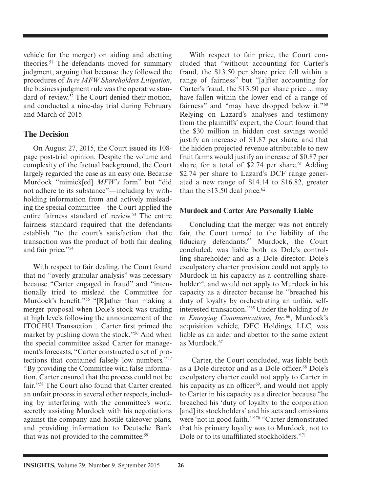vehicle for the merger) on aiding and abetting theories.51 The defendants moved for summary judgment, arguing that because they followed the procedures of *In re MFW Shareholders Litigation*, the business judgment rule was the operative standard of review.52 The Court denied their motion, and conducted a nine-day trial during February and March of 2015.

### **The Decision**

On August 27, 2015, the Court issued its 108 page post-trial opinion. Despite the volume and complexity of the factual background, the Court largely regarded the case as an easy one. Because Murdock "mimick[ed] *MFW's* form" but "did not adhere to its substance"—including by withholding information from and actively misleading the special committee—the Court applied the entire fairness standard of review.<sup>53</sup> The entire fairness standard required that the defendants establish "to the court's satisfaction that the transaction was the product of both fair dealing and fair price."54

With respect to fair dealing, the Court found that no "overly granular analysis" was necessary because "Carter engaged in fraud" and "intentionally tried to mislead the Committee for Murdock's benefit."<sup>55</sup> "[R]ather than making a merger proposal when Dole's stock was trading at high levels following the announcement of the ITOCHU Transaction ... Carter first primed the market by pushing down the stock."56 And when the special committee asked Carter for management's forecasts, "Carter constructed a set of protections that contained falsely low numbers."57 "By providing the Committee with false information, Carter ensured that the process could not be fair."58 The Court also found that Carter created an unfair process in several other respects, including by interfering with the committee's work, secretly assisting Murdock with his negotiations against the company and hostile takeover plans, and providing information to Deutsche Bank that was not provided to the committee.<sup>59</sup>

With respect to fair price, the Court concluded that "without accounting for Carter's fraud, the \$13.50 per share price fell within a range of fairness" but "[a]fter accounting for Carter's fraud, the \$13.50 per share price … may have fallen within the lower end of a range of fairness" and "may have dropped below it."60 Relying on Lazard's analyses and testimony from the plaintiffs' expert, the Court found that the \$30 million in hidden cost savings would justify an increase of \$1.87 per share, and that the hidden projected revenue attributable to new fruit farms would justify an increase of \$0.87 per share, for a total of \$2.74 per share.<sup>61</sup> Adding \$2.74 per share to Lazard's DCF range generated a new range of \$14.14 to \$16.82, greater than the  $$13.50$  deal price.<sup>62</sup>

#### **Murdock and Carter Are Personally Liable**

Concluding that the merger was not entirely fair, the Court turned to the liability of the fiduciary defendants.<sup>63</sup> Murdock, the Court concluded, was liable both as Dole's controlling shareholder and as a Dole director. Dole's exculpatory charter provision could not apply to Murdock in his capacity as a controlling shareholder<sup>64</sup>, and would not apply to Murdock in his capacity as a director because he "breached his duty of loyalty by orchestrating an unfair, selfinterested transaction."65 Under the holding of *In re Emerging Communications, Inc.*66, Murdock's acquisition vehicle, DFC Holdings, LLC, was liable as an aider and abettor to the same extent as Murdock.<sup>67</sup>

 Carter, the Court concluded, was liable both as a Dole director and as a Dole officer.<sup>68</sup> Dole's exculpatory charter could not apply to Carter in his capacity as an officer $69$ , and would not apply to Carter in his capacity as a director because "he breached his 'duty of loyalty to the corporation [and] its stockholders' and his acts and omissions were 'not in good faith.' "70 "Carter demonstrated that his primary loyalty was to Murdock, not to Dole or to its unaffiliated stockholders."<sup>71</sup>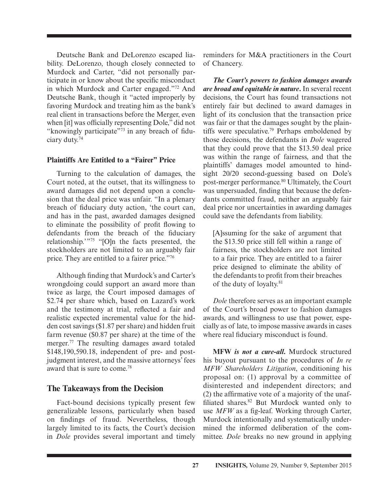Deutsche Bank and DeLorenzo escaped liability. DeLorenzo, though closely connected to Murdock and Carter, "did not personally participate in or know about the specific misconduct in which Murdock and Carter engaged."72 And Deutsche Bank, though it "acted improperly by favoring Murdock and treating him as the bank's real client in transactions before the Merger, even when [it] was officially representing Dole," did not "knowingly participate" $73$  in any breach of fiduciary duty.74

#### **Plaintiffs Are Entitled to a "Fairer" Price**

Turning to the calculation of damages, the Court noted, at the outset, that its willingness to award damages did not depend upon a conclusion that the deal price was unfair. "In a plenary breach of fiduciary duty action, 'the court can, and has in the past, awarded damages designed to eliminate the possibility of profit flowing to defendants from the breach of the fiduciary relationship.'"75 "[O]n the facts presented, the stockholders are not limited to an arguably fair price. They are entitled to a fairer price."76

Although finding that Murdock's and Carter's wrongdoing could support an award more than twice as large, the Court imposed damages of \$2.74 per share which, based on Lazard's work and the testimony at trial, reflected a fair and realistic expected incremental value for the hidden cost savings (\$1.87 per share) and hidden fruit farm revenue (\$0.87 per share) at the time of the merger.77 The resulting damages award totaled \$148,190,590.18, independent of pre- and postjudgment interest, and the massive attorneys' fees award that is sure to come.78

#### **The Takeaways from the Decision**

Fact-bound decisions typically present few generalizable lessons, particularly when based on findings of fraud. Nevertheless, though largely limited to its facts, the Court's decision in *Dole* provides several important and timely reminders for M&A practitioners in the Court of Chancery.

*The Court's powers to fashion damages awards are broad and equitable in nature***.** In several recent decisions, the Court has found transactions not entirely fair but declined to award damages in light of its conclusion that the transaction price was fair or that the damages sought by the plaintiffs were speculative.79 Perhaps emboldened by those decisions, the defendants in *Dole* wagered that they could prove that the \$13.50 deal price was within the range of fairness, and that the plaintiffs' damages model amounted to hindsight 20/20 second-guessing based on Dole's post-merger performance.<sup>80</sup> Ultimately, the Court was unpersuaded, finding that because the defendants committed fraud, neither an arguably fair deal price nor uncertainties in awarding damages could save the defendants from liability.

[A]ssuming for the sake of argument that the \$13.50 price still fell within a range of fairness, the stockholders are not limited to a fair price. They are entitled to a fairer price designed to eliminate the ability of the defendants to profit from their breaches of the duty of loyalty.81

*Dole* therefore serves as an important example of the Court's broad power to fashion damages awards, and willingness to use that power, especially as of late, to impose massive awards in cases where real fiduciary misconduct is found.

**MFW** *is not a cure-all***.** Murdock structured his buyout pursuant to the procedures of *In re MFW Shareholders Litigation*, conditioning his proposal on: (1) approval by a committee of disinterested and independent directors; and  $(2)$  the affirmative vote of a majority of the unaffiliated shares.<sup>82</sup> But Murdock wanted only to use MFW as a fig-leaf. Working through Carter, Murdock intentionally and systematically undermined the informed deliberation of the committee. *Dole* breaks no new ground in applying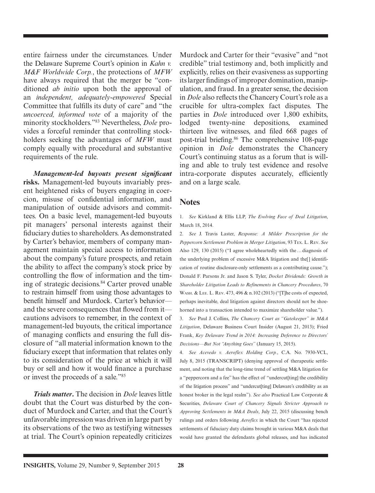entire fairness under the circumstances. Under the Delaware Supreme Court's opinion in *Kahn v. M&F Worldwide Corp.*, the protections of *MFW*  have always required that the merger be "conditioned *ab initio* upon both the approval of an *independent, adequately-empowered* Special Committee that fulfills its duty of care" and "the *uncoerced, informed vote* of a majority of the minority stockholders."83 Nevertheless, *Dole* provides a forceful reminder that controlling stockholders seeking the advantages of *MFW* must comply equally with procedural and substantive requirements of the rule.

*Management-led buyouts present signifi cant* **risks.** Management-led buyouts invariably present heightened risks of buyers engaging in coercion, misuse of confidential information, and manipulation of outside advisors and committees. On a basic level, management-led buyouts pit managers' personal interests against their fiduciary duties to shareholders. As demonstrated by Carter's behavior, members of company management maintain special access to information about the company's future prospects, and retain the ability to affect the company's stock price by controlling the flow of information and the timing of strategic decisions.<sup>84</sup> Carter proved unable to restrain himself from using those advantages to benefit himself and Murdock. Carter's behavior and the severe consequences that flowed from it cautions advisors to remember, in the context of management-led buyouts, the critical importance of managing conflicts and ensuring the full disclosure of "all material information known to the fiduciary except that information that relates only to its consideration of the price at which it will buy or sell and how it would finance a purchase or invest the proceeds of a sale."85

*Trials matter***.** The decision in *Dole* leaves little doubt that the Court was disturbed by the conduct of Murdock and Carter, and that the Court's unfavorable impression was driven in large part by its observations of the two as testifying witnesses at trial. The Court's opinion repeatedly criticizes

Murdock and Carter for their "evasive" and "not credible" trial testimony and, both implicitly and explicitly, relies on their evasiveness as supporting its larger findings of improper domination, manipulation, and fraud. In a greater sense, the decision in *Dole* also reflects the Chancery Court's role as a crucible for ultra-complex fact disputes. The parties in *Dole* introduced over 1,800 exhibits, lodged twenty-nine depositions, examined thirteen live witnesses, and filed 668 pages of post-trial briefing.<sup>86</sup> The comprehensive 108-page opinion in *Dole* demonstrates the Chancery Court's continuing status as a forum that is willing and able to truly test evidence and resolve intra-corporate disputes accurately, efficiently and on a large scale.

#### **Notes**

1. *See* Kirkland & Ellis LLP, *The Evolving Face of Deal Litigation*, March 18, 2014.

2. *See* J. Travis Laster, *Response: A Milder Prescription for the Peppercorn Settlement Problem in Merger Litigation*, 93 TEX. L. REV. *See* Also 129, 130 (2015) ("I agree wholeheartedly with the … diagnosis of the underlying problem of excessive M&A litigation and the[] identification of routine disclosure-only settlements as a contributing cause."); Donald F. Parsons Jr. and Jason S. Tyler, *Docket Dividends: Growth in Shareholder Litigation Leads to Refinements in Chancery Procedures*, 70 WASH. & LEE. L. REV. 473, 496 & n.102 (2013) ("[T]he costs of expected, perhaps inevitable, deal litigation against directors should not be shoehorned into a transaction intended to maximize shareholder value.").

3. *See* Paul J. Collins, *The Chancery Court as "Gatekeeper" in M&A Litigation*, Delaware Business Court Insider (August 21, 2013); Fried Frank, *Key Delaware Trend in 2014: Increasing Deference to Directors' Decisions—But Not "Anything Goes"* (January 15, 2015).

4. *See Acevedo v. Aeroflex Holding Corp.*, C.A. No. 7930-VCL, July 8, 2015 (TRANSCRIPT) (denying approval of therapeutic settlement, and noting that the long-time trend of settling M&A litigation for a "peppercorn and a fee" has the effect of "undercut[ting] the credibility of the litigation process" and "undercut[ting] Delaware's credibility as an honest broker in the legal realm"). *See also* Practical Law Corporate & Securities, *Delaware Court of Chancery Signals Stricter Approach to Approving Settlements in M&A Deals*, July 22, 2015 (discussing bench rulings and orders following *Aeroflex* in which the Court "has rejected settlements of fiduciary duty claims brought in various M&A deals that would have granted the defendants global releases, and has indicated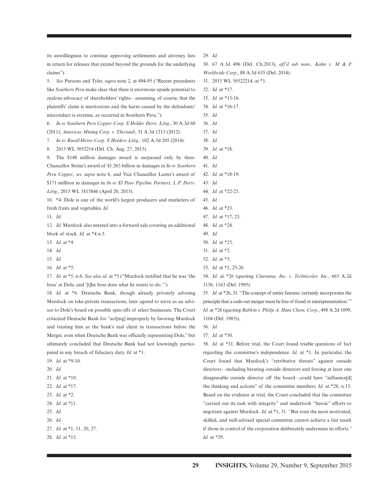its unwillingness to continue approving settlements and attorney fees in return for releases that extend beyond the grounds for the underlying claims").

5. *See* Parsons and Tyler, *supra* note 2, at 494-95 ("Recent precedents like *Southern Peru* make clear that there is enormous upside potential to zealous advocacy of shareholders' rights—assuming, of course, that the plaintiffs' claim is meritorious and the harm caused by the defendants' misconduct is extreme, as occurred in Southern Peru.").

6. *In re Southern Peru Copper Corp. S'Holder Deriv. Litig.*, 30 A.3d 60 (2011); *Americas Mining Corp. v. Theriault*, 51 A.3d 1213 (2012).

7. *In re Rural/Metro Corp. S'Holders Litig.*, 102 A.3d 205 (2014).

8. 2015 WL 5052214 (Del. Ch. Aug. 27, 2015).

9. The \$148 million damages award is surpassed only by then-Chancellor Strine's award of \$1.263 billion in damages in *In re Southern Peru Copper*, *see supra* note 6, and Vice Chancellor Laster's award of \$171 milliion in damages in *In re El Paso Pipeline Partners, L.P. Deriv. Litig.*, 2015 WL 1815846 (April 20, 2015).

10. \*4. Dole is one of the world's largest producers and marketers of fresh fruits and vegetables. *Id.*

11. *Id.*

12. *Id.* Murdock also entered into a forward sale covering an additional block of stock. *Id.* at \*4 n.5.

13. *Id.* at \*4

14. *Id.*

- 15. *Id.*
- 16. *Id.* at \*5.

17. *Id.* at \*5, n.6. *See also id.* at \*5 ("Murdock testified that he was 'the boss' at Dole, and '[t]he boss does what he wants to do.'").

18. *Id.* at \*6. Deutsche Bank, though already privately advising Murdock on take-private transactions, later agreed to serve as an advisor to Dole's board on possible spin-offs of select businesses. The Court criticized Deutsche Bank for "act[ing] improperly by favoring Murdock and treating him as the bank's real client in transactions before the Merger, even when Deutsche Bank was officially representing Dole," but ultimately concluded that Deutsche Bank had not knowingly participated in any breach of fiduciary duty. *Id.* at \*1.

- 19. *Id.* at \*9-10.
- 20. *Id.*
- 21. *Id.* at \*10.
- 22. *Id.* at \*17.
- 23. *Id.* at \*2.
- 24. *Id.* at \*11.
- 25. *Id.*
- 26. *Id.*
- 27. *Id.* at \*1, 11, 20, 27.
- 28. *Id.* at \*15.

29. *Id.*

30. 67 A.3d 496 (Del. Ch.2013), *aff'd sub nom., Kahn v. M & F Worldwide Corp.*, 88 A.3d 635 (Del. 2014).

- 31. 2015 WL 50522214, at \*1.
- 32. *Id.* at \*17.
- 33. *Id.* at \*15-16.
- 34. *Id.* at \*16-17.
- 35. *Id.*
- 36. *Id.*
- 37. *Id.*
- 38. *Id.*
- 39. *Id.* at \*18.
- 40. *Id.*

43. *Id.*

- 41. *Id.*
- 42. *Id.* at \*18-19.
- 44. *Id.* at \*22-23.
- 45. *Id.*
- 46. *Id.* at \*23.
- 47. *Id.* at \*17, 23.
- 48. *Id.* at \*24.
- 49. *Id.*
- 50. *Id.* at \*25. 51. *Id.* at \*2.
- 52. *Id.* at \*3.
- 
- 53. *Id.* at \*1, 25-26.

54. *Id.* at \*26 (quoting *Cinerama, Inc. v. Technicolor, Inc.*, 663 A.2d 1156, 1163 (Del. 1995).

55. *Id.* at \*26, 31. "The concept of entire fairness 'certainly incorporates the principle that a cash-out merger must be free of fraud or misrepresentation." *Id.* at \*26 (quoting *Rabkin v. Philip A. Hunt Chem. Corp*., 498 A.2d 1099, 1104 (Del. 1985)).

56. *Id.*

57. *Id.* at \*30.

58. *Id.* at \*31. Before trial, the Court found triable questions of fact regarding the committee's independence. *Id*. at \*1. In particular, the Court found that Murdock's "retributive threats" against outside directors—including berating outside directors and forcing at least one disagreeable outside director off the board—could have "influence[d] the thinking and actions" of the committee members. *Id.* at \*28, n.15. Based on the evidence at trial, the Court concluded that the committee "carried out its task with integrity" and undertook "heroic" efforts to negotiate against Murdock. *Id.* at \*1, 31. "But even the most motivated, skilled, and well-advised special committee cannot achieve a fair result if those in control of the corporation deliberately undermine its efforts." *Id.* at \*29.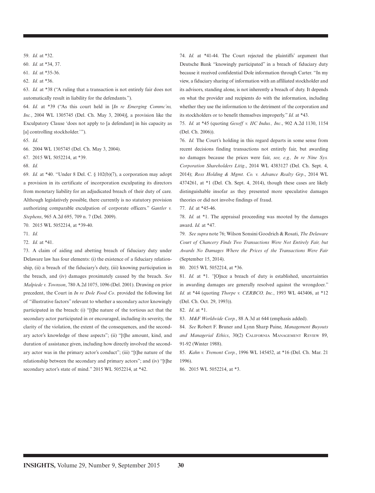59. *Id.* at \*32.

60. *Id.* at \*34, 37.

61. *Id.* at \*35-36.

62. *Id.* at \*36.

63. *Id.* at \*38 ("A ruling that a transaction is not entirely fair does not automatically result in liability for the defendants.").

64. *Id.* at \*39 ("As this court held in [*In re Emerging Commc'ns, Inc.*, 2004 WL 1305745 (Del. Ch. May 3, 2004)], a provision like the Exculpatory Clause 'does not apply to [a defendant] in his capacity as [a] controlling stockholder."").

65. *Id*.

66. 2004 WL 1305745 (Del. Ch. May 3, 2004).

67. 2015 WL 5052214, at \*39.

68. *Id.*

69. *Id.* at \*40. "Under 8 Del. C. § 102(b)(7), a corporation may adopt a provision in its certificate of incorporation exculpating its directors from monetary liability for an adjudicated breach of their duty of care. Although legislatively possible, there currently is no statutory provision authorizing comparable exculpation of corporate officers." *Gantler v. Stephens*, 965 A.2d 695, 709 n. 7 (Del. 2009).

70. 2015 WL 5052214, at \*39-40.

71. *Id.*

72. *Id.* at \*41.

73. A claim of aiding and abetting breach of fiduciary duty under Delaware law has four elements: (i) the existence of a fiduciary relationship, (ii) a breach of the fiduciary's duty, (iii) knowing participation in the breach, and (iv) damages proximately caused by the breach. *See Malpiede v. Townson*, 780 A.2d 1075, 1096 (Del. 2001). Drawing on prior precedent, the Court in *In re Dole Food Co*. provided the following list of "illustrative factors" relevant to whether a secondary actor knowingly participated in the breach: (i) "[t]he nature of the tortious act that the secondary actor participated in or encouraged, including its severity, the clarity of the violation, the extent of the consequences, and the secondary actor's knowledge of these aspects"; (ii) "[t]he amount, kind, and duration of assistance given, including how directly involved the secondary actor was in the primary actor's conduct"; (iii) "[t]he nature of the relationship between the secondary and primary actors"; and (iv) "[t]he secondary actor's state of mind." 2015 WL 5052214, at \*42.

74. *Id.* at \*41-44. The Court rejected the plaintiffs' argument that Deutsche Bank "knowingly participated" in a breach of fiduciary duty because it received confidential Dole information through Carter. "In my view, a fiduciary sharing of information with an affiliated stockholder and its advisors, standing alone, is not inherently a breach of duty. It depends on what the provider and recipients do with the information, including whether they use the information to the detriment of the corporation and its stockholders or to benefit themselves improperly." *Id.* at \*43.

75. *Id.* at \*45 (quoting *Gesoff v. IIC Indus., Inc*., 902 A.2d 1130, 1154 (Del. Ch. 2006)).

76. *Id.* The Court's holding in this regard departs in some sense from recent decisions finding transactions not entirely fair, but awarding no damages because the prices were fair, *see, e.g., In re Nine Sys. Corporation Shareholders Litig*., 2014 WL 4383127 (Del. Ch. Sept. 4, 2014); *Ross Holding & Mgmt. Co. v. Advance Realty Grp*., 2014 WL 4374261, at \*1 (Del. Ch. Sept. 4, 2014), though these cases are likely distinguishable insofar as they presented more speculative damages theories or did not involve findings of fraud.

77. *Id.* at \*45-46.

78. *Id.* at \*1. The appraisal proceeding was mooted by the damages award. *Id.* at \*47.

79. *See supra* note 76; Wilson Sonsini Goodrich & Rosati, *The Delaware Court of Chancery Finds Two Transactions Were Not Entirely Fair, but Awards No Damages Where the Prices of the Transactions Were Fair* (September 15, 2014).

80. 2015 WL 5052214, at \*36.

81. *Id.* at \*1. *"*[O]nce a breach of duty is established, uncertainties in awarding damages are generally resolved against the wrongdoer." *Id.* at \*44 (quoting *Thorpe v. CERBCO, Inc.*, 1993 WL 443406, at \*12 (Del. Ch. Oct. 29, 1993)).

82. *Id*. at \*1.

83. *M&F Worldwide Corp.*, 88 A.3d at 644 (emphasis added).

84. *See* Robert F. Bruner and Lynn Sharp Paine, *Management Buyouts and Managerial Ethics*, 30(2) CALIFORNIA MANAGEMENT REVIEW 89, 91-92 (Winter 1988).

85. *Kahn v. Tremont Corp.*, 1996 WL 145452, at \*16 (Del. Ch. Mar. 21 1996).

86. 2015 WL 5052214, at \*3.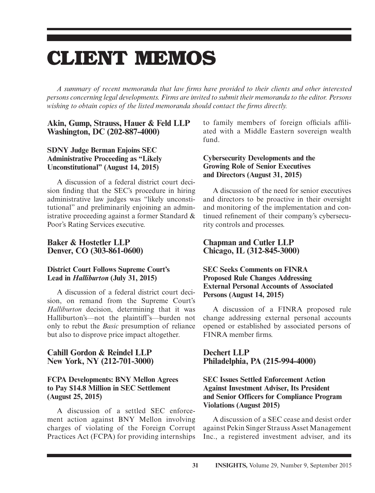# **CLIENT MEMOS**

*A summary of recent memoranda that law fi rms have provided to their clients and other interested persons concerning legal developments. Firms are invited to submit their memoranda to the editor. Persons wishing to obtain copies of the listed memoranda should contact the firms directly.* 

#### **Akin, Gump, Strauss, Hauer & Feld LLP Washington, DC (202-887-4000)**

#### **SDNY Judge Berman Enjoins SEC Administrative Proceeding as "Likely Unconstitutional" (August 14, 2015)**

A discussion of a federal district court decision finding that the SEC's procedure in hiring administrative law judges was "likely unconstitutional" and preliminarily enjoining an administrative proceeding against a former Standard & Poor's Rating Services executive.

#### **Baker & Hostetler LLP Denver, CO (303-861-0600)**

#### **District Court Follows Supreme Court's Lead in** *Halliburton* **(July 31, 2015)**

A discussion of a federal district court decision, on remand from the Supreme Court's *Halliburton* decision, determining that it was Halliburton's—not the plaintiff's—burden not only to rebut the *Basic* presumption of reliance but also to disprove price impact altogether.

#### **Cahill Gordon & Reindel LLP New York, NY (212-701-3000)**

#### **FCPA Developments: BNY Mellon Agrees to Pay \$14.8 Million in SEC Settlement (August 25, 2015)**

A discussion of a settled SEC enforcement action against BNY Mellon involving charges of violating of the Foreign Corrupt Practices Act (FCPA) for providing internships to family members of foreign officials affiliated with a Middle Eastern sovereign wealth fund.

#### **Cybersecurity Developments and the Growing Role of Senior Executives and Directors (August 31, 2015)**

A discussion of the need for senior executives and directors to be proactive in their oversight and monitoring of the implementation and continued refinement of their company's cybersecurity controls and processes.

#### **Chapman and Cutler LLP Chicago, IL (312-845-3000)**

#### **SEC Seeks Comments on FINRA Proposed Rule Changes Addressing External Personal Accounts of Associated Persons (August 14, 2015)**

A discussion of a FINRA proposed rule change addressing external personal accounts opened or established by associated persons of FINRA member firms.

#### **Dechert LLP Philadelphia, PA (215-994-4000)**

#### **SEC Issues Settled Enforcement Action Against Investment Adviser, Its President and Senior Officers for Compliance Program Violations (August 2015)**

A discussion of a SEC cease and desist order against Pekin Singer Strauss Asset Management Inc., a registered investment adviser, and its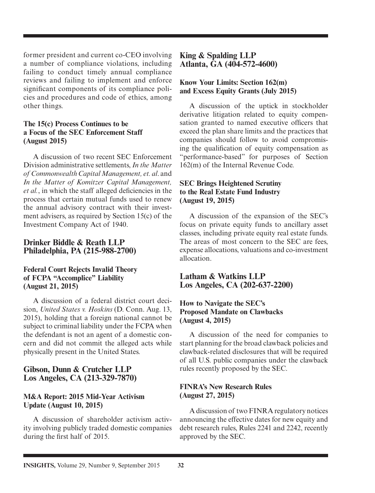former president and current co-CEO involving a number of compliance violations, including failing to conduct timely annual compliance reviews and failing to implement and enforce significant components of its compliance policies and procedures and code of ethics, among other things.

#### **The 15(c) Process Continues to be a Focus of the SEC Enforcement Staff (August 2015)**

A discussion of two recent SEC Enforcement Division administrative settlements, *In the Matter of Commonwealth Capital Management, et. al*. and *In the Matter of Komitzer Capital Management, et al.*, in which the staff alleged deficiencies in the process that certain mutual funds used to renew the annual advisory contract with their investment advisers, as required by Section 15(c) of the Investment Company Act of 1940.

#### **Drinker Biddle & Reath LLP Philadelphia, PA (215-988-2700)**

#### **Federal Court Rejects Invalid Theory of FCPA "Accomplice" Liability (August 21, 2015)**

A discussion of a federal district court decision, *United States v. Hoskins* (D. Conn. Aug. 13, 2015), holding that a foreign national cannot be subject to criminal liability under the FCPA when the defendant is not an agent of a domestic concern and did not commit the alleged acts while physically present in the United States.

#### **Gibson, Dunn & Crutcher LLP Los Angeles, CA (213-329-7870)**

#### **M&A Report: 2015 Mid-Year Activism Update (August 10, 2015)**

A discussion of shareholder activism activity involving publicly traded domestic companies during the first half of 2015.

#### **King & Spalding LLP Atlanta, GA (404-572-4600)**

#### **Know Your Limits: Section 162(m) and Excess Equity Grants (July 2015)**

A discussion of the uptick in stockholder derivative litigation related to equity compensation granted to named executive officers that exceed the plan share limits and the practices that companies should follow to avoid compromising the qualification of equity compensation as "performance-based" for purposes of Section 162(m) of the Internal Revenue Code.

#### **SEC Brings Heightened Scrutiny to the Real Estate Fund Industry (August 19, 2015)**

A discussion of the expansion of the SEC's focus on private equity funds to ancillary asset classes, including private equity real estate funds. The areas of most concern to the SEC are fees, expense allocations, valuations and co-investment allocation.

**Latham & Watkins LLP Los Angeles, CA (202-637-2200)** 

#### **How to Navigate the SEC's Proposed Mandate on Clawbacks (August 4, 2015)**

A discussion of the need for companies to start planning for the broad clawback policies and clawback-related disclosures that will be required of all U.S. public companies under the clawback rules recently proposed by the SEC.

#### **FINRA's New Research Rules (August 27, 2015)**

A discussion of two FINRA regulatory notices announcing the effective dates for new equity and debt research rules, Rules 2241 and 2242, recently approved by the SEC.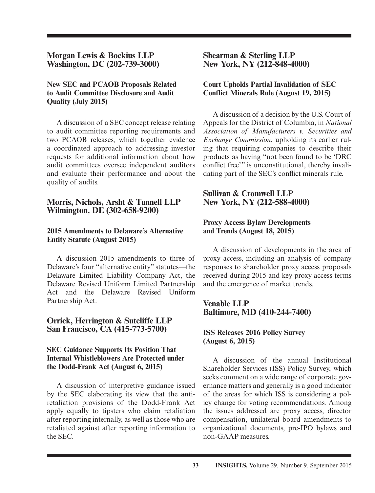**Morgan Lewis & Bockius LLP Washington, DC (202-739-3000)**

#### **New SEC and PCAOB Proposals Related to Audit Committee Disclosure and Audit Quality (July 2015)**

A discussion of a SEC concept release relating to audit committee reporting requirements and two PCAOB releases, which together evidence a coordinated approach to addressing investor requests for additional information about how audit committees oversee independent auditors and evaluate their performance and about the quality of audits.

#### **Morris, Nichols, Arsht & Tunnell LLP Wilmington, DE (302-658-9200)**

#### **2015 Amendments to Delaware's Alternative Entity Statute (August 2015)**

A discussion 2015 amendments to three of Delaware's four "alternative entity" statutes—the Delaware Limited Liability Company Act, the Delaware Revised Uniform Limited Partnership Act and the Delaware Revised Uniform Partnership Act.

#### **Orrick, Herrington & Sutcliffe LLP San Francisco, CA (415-773-5700)**

#### **SEC Guidance Supports Its Position That Internal Whistleblowers Are Protected under the Dodd-Frank Act (August 6, 2015)**

A discussion of interpretive guidance issued by the SEC elaborating its view that the antiretaliation provisions of the Dodd-Frank Act apply equally to tipsters who claim retaliation after reporting internally, as well as those who are retaliated against after reporting information to the SEC.

#### **Shearman & Sterling LLP New York, NY (212-848-4000)**

#### **Court Upholds Partial Invalidation of SEC Conflict Minerals Rule (August 19, 2015)**

A discussion of a decision by the U.S. Court of Appeals for the District of Columbia, in *National Association of Manufacturers v. Securities and Exchange Commission*, upholding its earlier ruling that requiring companies to describe their products as having "not been found to be 'DRC conflict free'" is unconstitutional, thereby invalidating part of the SEC's conflict minerals rule.

#### **Sullivan & Cromwell LLP New York, NY (212-588-4000)**

#### **Proxy Access Bylaw Developments and Trends (August 18, 2015)**

A discussion of developments in the area of proxy access, including an analysis of company responses to shareholder proxy access proposals received during 2015 and key proxy access terms and the emergence of market trends.

#### **Venable LLP Baltimore, MD (410-244-7400)**

#### **ISS Releases 2016 Policy Survey (August 6, 2015)**

A discussion of the annual Institutional Shareholder Services (ISS) Policy Survey, which seeks comment on a wide range of corporate governance matters and generally is a good indicator of the areas for which ISS is considering a policy change for voting recommendations. Among the issues addressed are proxy access, director compensation, unilateral board amendments to organizational documents, pre-IPO bylaws and non-GAAP measures.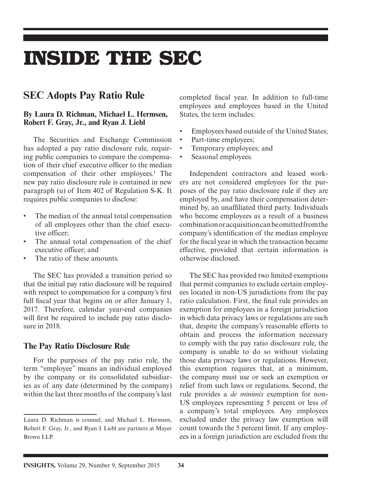## **INSIDE THE SEC**

## **SEC Adopts Pay Ratio Rule**

#### **By Laura D. Richman, Michael L. Hermsen, Robert F. Gray, Jr., and Ryan J. Liebl**

The Securities and Exchange Commission has adopted a pay ratio disclosure rule, requiring public companies to compare the compensation of their chief executive officer to the median compensation of their other employees.<sup>1</sup> The new pay ratio disclosure rule is contained in new paragraph (u) of Item 402 of Regulation S-K. It requires public companies to disclose:

- The median of the annual total compensation of all employees other than the chief executive officer;
- The annual total compensation of the chief executive officer; and
- The ratio of these amounts.

The SEC has provided a transition period so that the initial pay ratio disclosure will be required with respect to compensation for a company's first full fiscal year that begins on or after January 1, 2017. Therefore, calendar year-end companies will first be required to include pay ratio disclosure in 2018.

#### **The Pay Ratio Disclosure Rule**

For the purposes of the pay ratio rule, the term "employee" means an individual employed by the company or its consolidated subsidiaries as of any date (determined by the company) within the last three months of the company's last completed fiscal year. In addition to full-time employees and employees based in the United States, the term includes:

- Employees based outside of the United States;
- Part-time employees;
- Temporary employees; and
- Seasonal employees.

Independent contractors and leased workers are not considered employees for the purposes of the pay ratio disclosure rule if they are employed by, and have their compensation determined by, an unaffiliated third party. Individuals who become employees as a result of a business combination or acquisition can be omitted from the company's identification of the median employee for the fiscal year in which the transaction became effective, provided that certain information is otherwise disclosed.

The SEC has provided two limited exemptions that permit companies to exclude certain employees located in non-US jurisdictions from the pay ratio calculation. First, the final rule provides an exemption for employees in a foreign jurisdiction in which data privacy laws or regulations are such that, despite the company's reasonable efforts to obtain and process the information necessary to comply with the pay ratio disclosure rule, the company is unable to do so without violating those data privacy laws or regulations. However, this exemption requires that, at a minimum, the company must use or seek an exemption or relief from such laws or regulations. Second, the rule provides a *de minimis* exemption for non-US employees representing 5 percent or less of a company's total employees. Any employees excluded under the privacy law exemption will count towards the 5 percent limit. If any employees in a foreign jurisdiction are excluded from the

Laura D. Richman is counsel, and Michael L. Hermsen, Robert F. Gray, Jr., and Ryan J. Liebl are partners at Mayer Brown LLP.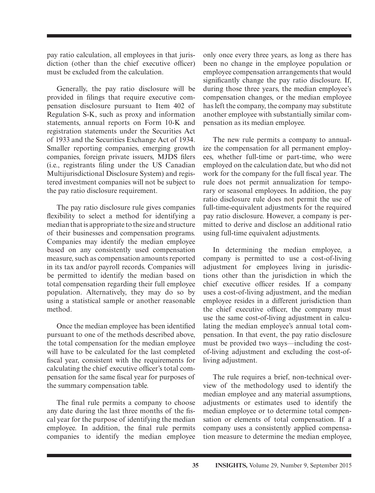pay ratio calculation, all employees in that jurisdiction (other than the chief executive officer) must be excluded from the calculation.

Generally, the pay ratio disclosure will be provided in filings that require executive compensation disclosure pursuant to Item 402 of Regulation S-K, such as proxy and information statements, annual reports on Form 10-K and registration statements under the Securities Act of 1933 and the Securities Exchange Act of 1934. Smaller reporting companies, emerging growth companies, foreign private issuers, MJDS filers (i.e., registrants filing under the US Canadian Multijurisdictional Disclosure System) and registered investment companies will not be subject to the pay ratio disclosure requirement.

The pay ratio disclosure rule gives companies flexibility to select a method for identifying a median that is appropriate to the size and structure of their businesses and compensation programs. Companies may identify the median employee based on any consistently used compensation measure, such as compensation amounts reported in its tax and/or payroll records. Companies will be permitted to identify the median based on total compensation regarding their full employee population. Alternatively, they may do so by using a statistical sample or another reasonable method.

Once the median employee has been identified pursuant to one of the methods described above, the total compensation for the median employee will have to be calculated for the last completed fiscal year, consistent with the requirements for calculating the chief executive officer's total compensation for the same fiscal year for purposes of the summary compensation table.

The final rule permits a company to choose any date during the last three months of the fiscal year for the purpose of identifying the median employee. In addition, the final rule permits companies to identify the median employee

only once every three years, as long as there has been no change in the employee population or employee compensation arrangements that would significantly change the pay ratio disclosure. If, during those three years, the median employee's compensation changes, or the median employee has left the company, the company may substitute another employee with substantially similar compensation as its median employee.

The new rule permits a company to annualize the compensation for all permanent employees, whether full-time or part-time, who were employed on the calculation date, but who did not work for the company for the full fiscal year. The rule does not permit annualization for temporary or seasonal employees. In addition, the pay ratio disclosure rule does not permit the use of full-time-equivalent adjustments for the required pay ratio disclosure. However, a company is permitted to derive and disclose an additional ratio using full-time equivalent adjustments.

In determining the median employee, a company is permitted to use a cost-of-living adjustment for employees living in jurisdictions other than the jurisdiction in which the chief executive officer resides. If a company uses a cost-of-living adjustment, and the median employee resides in a different jurisdiction than the chief executive officer, the company must use the same cost-of-living adjustment in calculating the median employee's annual total compensation. In that event, the pay ratio disclosure must be provided two ways—including the costof- living adjustment and excluding the cost-ofliving adjustment.

The rule requires a brief, non-technical overview of the methodology used to identify the median employee and any material assumptions, adjustments or estimates used to identify the median employee or to determine total compensation or elements of total compensation. If a company uses a consistently applied compensation measure to determine the median employee,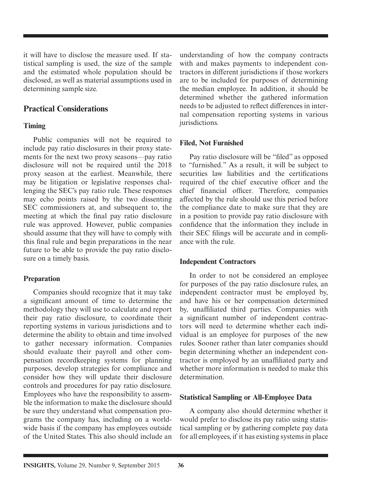it will have to disclose the measure used. If statistical sampling is used, the size of the sample and the estimated whole population should be disclosed, as well as material assumptions used in determining sample size.

### **Practical Considerations**

#### **Timing**

Public companies will not be required to include pay ratio disclosures in their proxy statements for the next two proxy seasons—pay ratio disclosure will not be required until the 2018 proxy season at the earliest. Meanwhile, there may be litigation or legislative responses challenging the SEC's pay ratio rule. These responses may echo points raised by the two dissenting SEC commissioners at, and subsequent to, the meeting at which the final pay ratio disclosure rule was approved. However, public companies should assume that they will have to comply with this final rule and begin preparations in the near future to be able to provide the pay ratio disclosure on a timely basis.

#### **Preparation**

Companies should recognize that it may take a significant amount of time to determine the methodology they will use to calculate and report their pay ratio disclosure, to coordinate their reporting systems in various jurisdictions and to determine the ability to obtain and time involved to gather necessary information. Companies should evaluate their payroll and other compensation recordkeeping systems for planning purposes, develop strategies for compliance and consider how they will update their disclosure controls and procedures for pay ratio disclosure. Employees who have the responsibility to assemble the information to make the disclosure should be sure they understand what compensation programs the company has, including on a worldwide basis if the company has employees outside of the United States. This also should include an

understanding of how the company contracts with and makes payments to independent contractors in different jurisdictions if those workers are to be included for purposes of determining the median employee. In addition, it should be determined whether the gathered information needs to be adjusted to reflect differences in internal compensation reporting systems in various jurisdictions.

#### **Filed, Not Furnished**

Pay ratio disclosure will be "filed" as opposed to "furnished." As a result, it will be subject to securities law liabilities and the certifications required of the chief executive officer and the chief financial officer. Therefore, companies affected by the rule should use this period before the compliance date to make sure that they are in a position to provide pay ratio disclosure with confidence that the information they include in their SEC filings will be accurate and in compliance with the rule.

#### **Independent Contractors**

In order to not be considered an employee for purposes of the pay ratio disclosure rules, an independent contractor must be employed by, and have his or her compensation determined by, unaffiliated third parties. Companies with a significant number of independent contractors will need to determine whether each individual is an employee for purposes of the new rules. Sooner rather than later companies should begin determining whether an independent contractor is employed by an unaffiliated party and whether more information is needed to make this determination.

#### **Statistical Sampling or All-Employee Data**

A company also should determine whether it would prefer to disclose its pay ratio using statistical sampling or by gathering complete pay data for all employees, if it has existing systems in place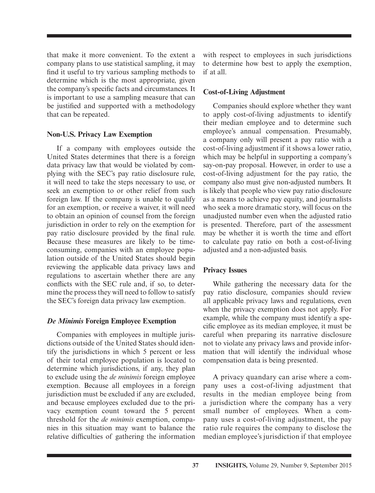that make it more convenient. To the extent a company plans to use statistical sampling, it may find it useful to try various sampling methods to determine which is the most appropriate, given the company's specific facts and circumstances. It is important to use a sampling measure that can be justified and supported with a methodology that can be repeated.

#### **Non-U.S. Privacy Law Exemption**

If a company with employees outside the United States determines that there is a foreign data privacy law that would be violated by complying with the SEC's pay ratio disclosure rule, it will need to take the steps necessary to use, or seek an exemption to or other relief from such foreign law. If the company is unable to qualify for an exemption, or receive a waiver, it will need to obtain an opinion of counsel from the foreign jurisdiction in order to rely on the exemption for pay ratio disclosure provided by the final rule. Because these measures are likely to be timeconsuming, companies with an employee population outside of the United States should begin reviewing the applicable data privacy laws and regulations to ascertain whether there are any conflicts with the SEC rule and, if so, to determine the process they will need to follow to satisfy the SEC's foreign data privacy law exemption.

#### *De Minimis* **Foreign Employee Exemption**

Companies with employees in multiple jurisdictions outside of the United States should identify the jurisdictions in which 5 percent or less of their total employee population is located to determine which jurisdictions, if any, they plan to exclude using the *de minimis* foreign employee exemption. Because all employees in a foreign jurisdiction must be excluded if any are excluded, and because employees excluded due to the privacy exemption count toward the 5 percent threshold for the *de minimis* exemption, companies in this situation may want to balance the relative difficulties of gathering the information

with respect to employees in such jurisdictions to determine how best to apply the exemption, if at all.

#### **Cost-of-Living Adjustment**

Companies should explore whether they want to apply cost-of-living adjustments to identify their median employee and to determine such employee's annual compensation. Presumably, a company only will present a pay ratio with a cost-of-living adjustment if it shows a lower ratio, which may be helpful in supporting a company's say-on-pay proposal. However, in order to use a cost-of-living adjustment for the pay ratio, the company also must give non-adjusted numbers. It is likely that people who view pay ratio disclosure as a means to achieve pay equity, and journalists who seek a more dramatic story, will focus on the unadjusted number even when the adjusted ratio is presented. Therefore, part of the assessment may be whether it is worth the time and effort to calculate pay ratio on both a cost-of-living adjusted and a non-adjusted basis.

#### **Privacy Issues**

While gathering the necessary data for the pay ratio disclosure, companies should review all applicable privacy laws and regulations, even when the privacy exemption does not apply. For example, while the company must identify a specific employee as its median employee, it must be careful when preparing its narrative disclosure not to violate any privacy laws and provide information that will identify the individual whose compensation data is being presented.

A privacy quandary can arise where a company uses a cost-of-living adjustment that results in the median employee being from a jurisdiction where the company has a very small number of employees. When a company uses a cost-of-living adjustment, the pay ratio rule requires the company to disclose the median employee's jurisdiction if that employee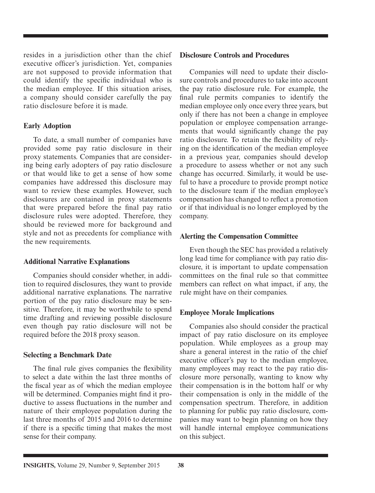resides in a jurisdiction other than the chief executive officer's jurisdiction. Yet, companies are not supposed to provide information that could identify the specific individual who is the median employee. If this situation arises, a company should consider carefully the pay ratio disclosure before it is made.

#### **Early Adoption**

To date, a small number of companies have provided some pay ratio disclosure in their proxy statements. Companies that are considering being early adopters of pay ratio disclosure or that would like to get a sense of how some companies have addressed this disclosure may want to review these examples. However, such disclosures are contained in proxy statements that were prepared before the final pay ratio disclosure rules were adopted. Therefore, they should be reviewed more for background and style and not as precedents for compliance with the new requirements.

#### **Additional Narrative Explanations**

Companies should consider whether, in addition to required disclosures, they want to provide additional narrative explanations. The narrative portion of the pay ratio disclosure may be sensitive. Therefore, it may be worthwhile to spend time drafting and reviewing possible disclosure even though pay ratio disclosure will not be required before the 2018 proxy season.

#### **Selecting a Benchmark Date**

The final rule gives companies the flexibility to select a date within the last three months of the fiscal year as of which the median employee will be determined. Companies might find it productive to assess fluctuations in the number and nature of their employee population during the last three months of 2015 and 2016 to determine if there is a specific timing that makes the most sense for their company.

#### **Disclosure Controls and Procedures**

Companies will need to update their disclosure controls and procedures to take into account the pay ratio disclosure rule. For example, the final rule permits companies to identify the median employee only once every three years, but only if there has not been a change in employee population or employee compensation arrangements that would significantly change the pay ratio disclosure. To retain the flexibility of relying on the identification of the median employee in a previous year, companies should develop a procedure to assess whether or not any such change has occurred. Similarly, it would be useful to have a procedure to provide prompt notice to the disclosure team if the median employee's compensation has changed to reflect a promotion or if that individual is no longer employed by the company.

#### **Alerting the Compensation Committee**

Even though the SEC has provided a relatively long lead time for compliance with pay ratio disclosure, it is important to update compensation committees on the final rule so that committee members can reflect on what impact, if any, the rule might have on their companies.

#### **Employee Morale Implications**

Companies also should consider the practical impact of pay ratio disclosure on its employee population. While employees as a group may share a general interest in the ratio of the chief executive officer's pay to the median employee, many employees may react to the pay ratio disclosure more personally, wanting to know why their compensation is in the bottom half or why their compensation is only in the middle of the compensation spectrum. Therefore, in addition to planning for public pay ratio disclosure, companies may want to begin planning on how they will handle internal employee communications on this subject.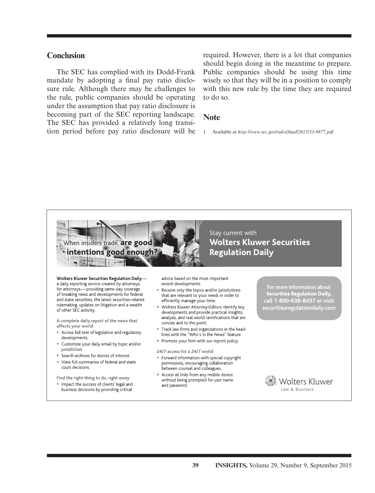#### **Conclusion**

The SEC has complied with its Dodd-Frank mandate by adopting a final pay ratio disclosure rule. Although there may be challenges to the rule, public companies should be operating under the assumption that pay ratio disclosure is becoming part of the SEC reporting landscape. The SEC has provided a relatively long transition period before pay ratio disclosure will be required. However, there is a lot that companies should begin doing in the meantime to prepare. Public companies should be using this time wisely so that they will be in a position to comply with this new rule by the time they are required to do so.

#### **Note**

1. Available at *http://www.sec.gov/rules/final/2015/33-9877.pdf*.